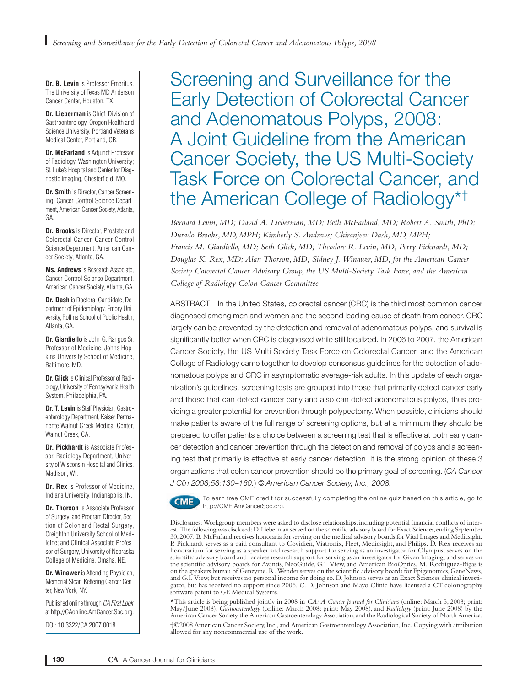**Dr. B. Levin** is Professor Emeritus, The University of Texas MD Anderson Cancer Center, Houston, TX.

**Dr. Lieberman** is Chief, Division of Gastroenterology, Oregon Health and Science University, Portland Veterans Medical Center, Portland, OR.

**Dr. McFarland** is Adjunct Professor of Radiology, Washington University; St. Luke's Hospital and Center for Diagnostic Imaging, Chesterfield, MO.

**Dr. Smith** is Director, Cancer Screening, Cancer Control Science Department, American Cancer Society, Atlanta,  $G \Delta$ 

**Dr. Brooks** is Director, Prostate and Colorectal Cancer, Cancer Control Science Department, American Cancer Society, Atlanta, GA.

**Ms. Andrews** is Research Associate, Cancer Control Science Department, American Cancer Society, Atlanta, GA.

**Dr. Dash** is Doctoral Candidate, Department of Epidemiology, Emory University, Rollins School of Public Health, Atlanta, GA.

**Dr. Giardiello** is John G. Rangos Sr. Professor of Medicine, Johns Hopkins University School of Medicine, Baltimore, MD.

**Dr. Glick** is Clinical Professor of Radiology, University of Pennsylvania Health System, Philadelphia, PA.

**Dr. T. Levin** is Staff Physician, Gastroenterology Department, Kaiser Permanente Walnut Creek Medical Center, Walnut Creek, CA.

**Dr. Pickhardt** is Associate Professor, Radiology Department, University of Wisconsin Hospital and Clinics, Madison, WI.

**Dr. Rex** is Professor of Medicine, Indiana University, Indianapolis, IN.

**Dr. Thorson** is Associate Professor of Surgery; and Program Director, Section of Colon and Rectal Surgery, Creighton University School of Medicine; and Clinical Associate Professor of Surgery, University of Nebraska College of Medicine, Omaha, NE.

**Dr. Winawer** is Attending Physician, Memorial Sloan-Kettering Cancer Center, New York, NY.

Published online through CA First Look at http://CAonline.AmCancer.Soc.org.

DOI: 10.3322/CA.2007.0018

Screening and Surveillance for the Early Detection of Colorectal Cancer and Adenomatous Polyps, 2008: A Joint Guideline from the American Cancer Society, the US Multi-Society Task Force on Colorectal Cancer, and the American College of Radiology\*†

*Bernard Levin, MD; David A. Lieberman, MD; Beth McFarland, MD; Robert A. Smith, PhD; Durado Brooks, MD, MPH; Kimberly S. Andrews; Chiranjeev Dash, MD, MPH; Francis M. Giardiello, MD; Seth Glick, MD; Theodore R. Levin, MD; Perry Pickhardt, MD; Douglas K. Rex, MD; Alan Thorson, MD; Sidney J. Winawer, MD; for the American Cancer Society Colorectal Cancer Advisory Group, the US Multi-Society Task Force, and the American College of Radiology Colon Cancer Committee*

ABSTRACT In the United States, colorectal cancer (CRC) is the third most common cancer diagnosed among men and women and the second leading cause of death from cancer. CRC largely can be prevented by the detection and removal of adenomatous polyps, and survival is significantly better when CRC is diagnosed while still localized. In 2006 to 2007, the American Cancer Society, the US Multi Society Task Force on Colorectal Cancer, and the American College of Radiology came together to develop consensus guidelines for the detection of adenomatous polyps and CRC in asymptomatic average-risk adults. In this update of each organization's guidelines, screening tests are grouped into those that primarily detect cancer early and those that can detect cancer early and also can detect adenomatous polyps, thus providing a greater potential for prevention through polypectomy. When possible, clinicians should make patients aware of the full range of screening options, but at a minimum they should be prepared to offer patients a choice between a screening test that is effective at both early cancer detection and cancer prevention through the detection and removal of polyps and a screening test that primarily is effective at early cancer detection. It is the strong opinion of these 3 organizations that colon cancer prevention should be the primary goal of screening. (*CA Cancer J Clin 2008;58:130–160.*) © *American Cancer Society, Inc., 2008.*

**CME** 

To earn free CME credit for successfully completing the online quiz based on this article, go to http://CME.AmCancerSoc.org.

Disclosures: Workgroup members were asked to disclose relationships,including potential financial conflicts of interest. The following was disclosed: D. Lieberman served on the scientific advisory board for Exact Sciences, ending September 30,2007. B. McFarland receives honoraria for serving on the medical advisory boards for Vital Images and Medicsight. P. Pickhardt serves as a paid consultant to Covidien, Viatronix, Fleet, Medicsight, and Philips. D. Rex receives an honorarium for serving as a speaker and research support for serving as an investigator for Olympus; serves on the scientific advisory board and receives research support for serving as an investigator for Given Imaging; and serves on the scientific advisory boards for Avantis, NeoGuide, G.I. View, and American BioOptics. M. Rodriguez-Bigas is on the speakers bureau of Genzyme. R. Wender serves on the scientific advisory boards for Epigenomics, GeneNews, and G.I. View, but receives no personal income for doing so. D. Johnson serves as an Exact Sciences clinical investigator, but has received no support since 2006. C. D. Johnson and Mayo Clinic have licensed a CT colonography software patent to GE Medical Systems.

\*This article is being published jointly in 2008 in *CA: A Cancer Journal for Clinicians* (online: March 5, 2008; print: May/June 2008), *Gastroenterology* (online: March 2008; print: May 2008), and *Radiology* (print: June 2008) by the American Cancer Society, the American Gastroenterology Association, and the Radiological Society of North America.

†©2008 American Cancer Society,Inc.,and American Gastroenterology Association,Inc. Copying with attribution allowed for any noncommercial use of the work.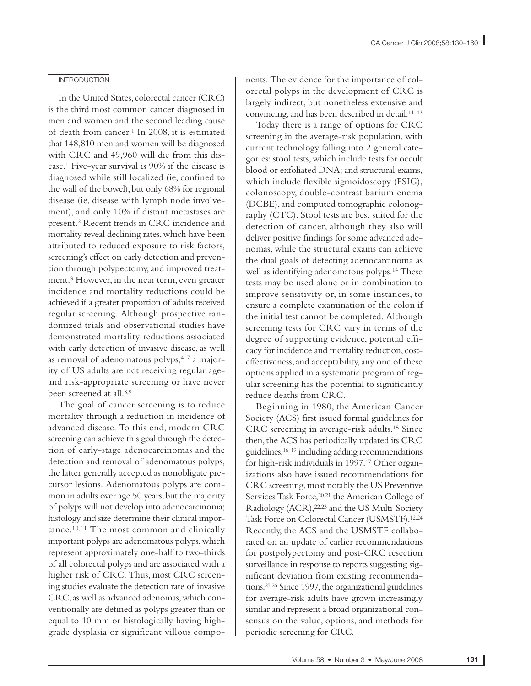### INTRODUCTION

In the United States, colorectal cancer (CRC) is the third most common cancer diagnosed in men and women and the second leading cause of death from cancer.1 In 2008, it is estimated that 148,810 men and women will be diagnosed with CRC and 49,960 will die from this disease.1 Five-year survival is 90% if the disease is diagnosed while still localized (ie, confined to the wall of the bowel), but only 68% for regional disease (ie, disease with lymph node involvement), and only 10% if distant metastases are present.2 Recent trends in CRC incidence and mortality reveal declining rates, which have been attributed to reduced exposure to risk factors, screening's effect on early detection and prevention through polypectomy, and improved treatment.3 However, in the near term, even greater incidence and mortality reductions could be achieved if a greater proportion of adults received regular screening. Although prospective randomized trials and observational studies have demonstrated mortality reductions associated with early detection of invasive disease, as well as removal of adenomatous polyps,4–7 a majority of US adults are not receiving regular ageand risk-appropriate screening or have never been screened at all.8,9

The goal of cancer screening is to reduce mortality through a reduction in incidence of advanced disease. To this end, modern CRC screening can achieve this goal through the detection of early-stage adenocarcinomas and the detection and removal of adenomatous polyps, the latter generally accepted as nonobligate precursor lesions. Adenomatous polyps are common in adults over age 50 years, but the majority of polyps will not develop into adenocarcinoma; histology and size determine their clinical importance.10,11 The most common and clinically important polyps are adenomatous polyps, which represent approximately one-half to two-thirds of all colorectal polyps and are associated with a higher risk of CRC. Thus, most CRC screening studies evaluate the detection rate of invasive CRC,as well as advanced adenomas,which conventionally are defined as polyps greater than or equal to 10 mm or histologically having highgrade dysplasia or significant villous components. The evidence for the importance of colorectal polyps in the development of CRC is largely indirect, but nonetheless extensive and convincing,and has been described in detail.11–13

Today there is a range of options for CRC screening in the average-risk population, with current technology falling into 2 general categories: stool tests, which include tests for occult blood or exfoliated DNA; and structural exams, which include flexible sigmoidoscopy (FSIG), colonoscopy, double-contrast barium enema (DCBE), and computed tomographic colonography (CTC). Stool tests are best suited for the detection of cancer, although they also will deliver positive findings for some advanced adenomas, while the structural exams can achieve the dual goals of detecting adenocarcinoma as well as identifying adenomatous polyps.14 These tests may be used alone or in combination to improve sensitivity or, in some instances, to ensure a complete examination of the colon if the initial test cannot be completed. Although screening tests for CRC vary in terms of the degree of supporting evidence, potential efficacy for incidence and mortality reduction, costeffectiveness, and acceptability, any one of these options applied in a systematic program of regular screening has the potential to significantly reduce deaths from CRC.

Beginning in 1980, the American Cancer Society (ACS) first issued formal guidelines for CRC screening in average-risk adults.15 Since then, the ACS has periodically updated its CRC guidelines,16–19 including adding recommendations for high-risk individuals in 1997.17 Other organizations also have issued recommendations for CRC screening,most notably the US Preventive Services Task Force, 20,21 the American College of Radiology (ACR),22,23 and the US Multi-Society Task Force on Colorectal Cancer (USMSTF).12,24 Recently, the ACS and the USMSTF collaborated on an update of earlier recommendations for postpolypectomy and post-CRC resection surveillance in response to reports suggesting significant deviation from existing recommendations.<sup>25,26</sup> Since 1997, the organizational guidelines for average-risk adults have grown increasingly similar and represent a broad organizational consensus on the value, options, and methods for periodic screening for CRC.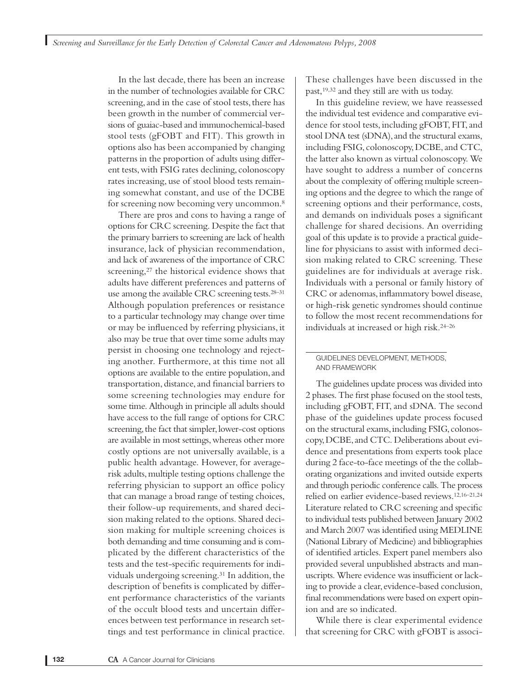In the last decade, there has been an increase in the number of technologies available for CRC screening, and in the case of stool tests, there has been growth in the number of commercial versions of guaiac-based and immunochemical-based stool tests (gFOBT and FIT). This growth in options also has been accompanied by changing patterns in the proportion of adults using different tests, with FSIG rates declining, colonoscopy rates increasing, use of stool blood tests remaining somewhat constant, and use of the DCBE for screening now becoming very uncommon.8

There are pros and cons to having a range of options for CRC screening. Despite the fact that the primary barriers to screening are lack of health insurance, lack of physician recommendation, and lack of awareness of the importance of CRC screening,<sup>27</sup> the historical evidence shows that adults have different preferences and patterns of use among the available CRC screening tests.28–31 Although population preferences or resistance to a particular technology may change over time or may be influenced by referring physicians, it also may be true that over time some adults may persist in choosing one technology and rejecting another. Furthermore, at this time not all options are available to the entire population,and transportation,distance,and financial barriers to some screening technologies may endure for some time. Although in principle all adults should have access to the full range of options for CRC screening, the fact that simpler, lower-cost options are available in most settings, whereas other more costly options are not universally available, is a public health advantage. However, for averagerisk adults,multiple testing options challenge the referring physician to support an office policy that can manage a broad range of testing choices, their follow-up requirements, and shared decision making related to the options. Shared decision making for multiple screening choices is both demanding and time consuming and is complicated by the different characteristics of the tests and the test-specific requirements for individuals undergoing screening.31 In addition, the description of benefits is complicated by different performance characteristics of the variants of the occult blood tests and uncertain differences between test performance in research settings and test performance in clinical practice.

These challenges have been discussed in the past,19,32 and they still are with us today.

In this guideline review, we have reassessed the individual test evidence and comparative evidence for stool tests, including gFOBT, FIT, and stool DNA test (sDNA), and the structural exams, including FSIG, colonoscopy, DCBE, and CTC, the latter also known as virtual colonoscopy. We have sought to address a number of concerns about the complexity of offering multiple screening options and the degree to which the range of screening options and their performance, costs, and demands on individuals poses a significant challenge for shared decisions. An overriding goal of this update is to provide a practical guideline for physicians to assist with informed decision making related to CRC screening. These guidelines are for individuals at average risk. Individuals with a personal or family history of CRC or adenomas, inflammatory bowel disease, or high-risk genetic syndromes should continue to follow the most recent recommendations for individuals at increased or high risk.24–26

### GUIDELINES DEVELOPMENT, METHODS, AND FRAMEWORK

The guidelines update process was divided into 2 phases. The first phase focused on the stool tests, including gFOBT, FIT, and sDNA. The second phase of the guidelines update process focused on the structural exams, including FSIG, colonoscopy,DCBE,and CTC. Deliberations about evidence and presentations from experts took place during 2 face-to-face meetings of the the collaborating organizations and invited outside experts and through periodic conference calls. The process relied on earlier evidence-based reviews.12,16–21,24 Literature related to CRC screening and specific to individual tests published between January 2002 and March 2007 was identified using MEDLINE (National Library of Medicine) and bibliographies of identified articles. Expert panel members also provided several unpublished abstracts and manuscripts. Where evidence was insufficient or lacking to provide a clear, evidence-based conclusion, final recommendations were based on expert opinion and are so indicated.

While there is clear experimental evidence that screening for CRC with gFOBT is associ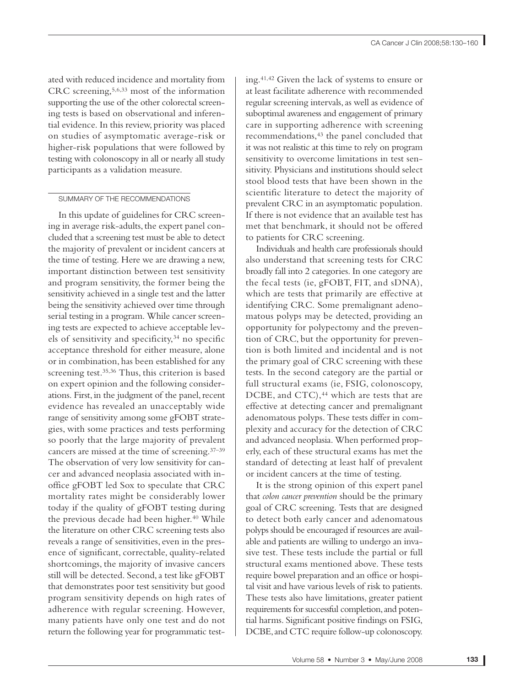ated with reduced incidence and mortality from CRC screening,5,6,33 most of the information supporting the use of the other colorectal screening tests is based on observational and inferential evidence. In this review, priority was placed on studies of asymptomatic average-risk or higher-risk populations that were followed by testing with colonoscopy in all or nearly all study participants as a validation measure.

### SUMMARY OF THE RECOMMENDATIONS

In this update of guidelines for CRC screening in average risk-adults, the expert panel concluded that a screening test must be able to detect the majority of prevalent or incident cancers at the time of testing. Here we are drawing a new, important distinction between test sensitivity and program sensitivity, the former being the sensitivity achieved in a single test and the latter being the sensitivity achieved over time through serial testing in a program. While cancer screening tests are expected to achieve acceptable levels of sensitivity and specificity,34 no specific acceptance threshold for either measure, alone or in combination, has been established for any screening test.<sup>35,36</sup> Thus, this criterion is based on expert opinion and the following considerations. First, in the judgment of the panel, recent evidence has revealed an unacceptably wide range of sensitivity among some gFOBT strategies, with some practices and tests performing so poorly that the large majority of prevalent cancers are missed at the time of screening.37–39 The observation of very low sensitivity for cancer and advanced neoplasia associated with inoffice gFOBT led Sox to speculate that CRC mortality rates might be considerably lower today if the quality of gFOBT testing during the previous decade had been higher.<sup>40</sup> While the literature on other CRC screening tests also reveals a range of sensitivities, even in the presence of significant, correctable, quality-related shortcomings, the majority of invasive cancers still will be detected. Second, a test like gFOBT that demonstrates poor test sensitivity but good program sensitivity depends on high rates of adherence with regular screening. However, many patients have only one test and do not return the following year for programmatic testing.41,42 Given the lack of systems to ensure or at least facilitate adherence with recommended regular screening intervals,as well as evidence of suboptimal awareness and engagement of primary care in supporting adherence with screening recommendations,<sup>43</sup> the panel concluded that it was not realistic at this time to rely on program sensitivity to overcome limitations in test sensitivity. Physicians and institutions should select stool blood tests that have been shown in the scientific literature to detect the majority of prevalent CRC in an asymptomatic population. If there is not evidence that an available test has met that benchmark, it should not be offered to patients for CRC screening.

Individuals and health care professionals should also understand that screening tests for CRC broadly fall into 2 categories. In one category are the fecal tests (ie, gFOBT, FIT, and sDNA), which are tests that primarily are effective at identifying CRC. Some premalignant adenomatous polyps may be detected, providing an opportunity for polypectomy and the prevention of CRC, but the opportunity for prevention is both limited and incidental and is not the primary goal of CRC screening with these tests. In the second category are the partial or full structural exams (ie, FSIG, colonoscopy, DCBE, and CTC),<sup>44</sup> which are tests that are effective at detecting cancer and premalignant adenomatous polyps. These tests differ in complexity and accuracy for the detection of CRC and advanced neoplasia. When performed properly, each of these structural exams has met the standard of detecting at least half of prevalent or incident cancers at the time of testing.

It is the strong opinion of this expert panel that *colon cancer prevention* should be the primary goal of CRC screening. Tests that are designed to detect both early cancer and adenomatous polyps should be encouraged if resources are available and patients are willing to undergo an invasive test. These tests include the partial or full structural exams mentioned above. These tests require bowel preparation and an office or hospital visit and have various levels of risk to patients. These tests also have limitations, greater patient requirements for successful completion,and potential harms. Significant positive findings on FSIG, DCBE, and CTC require follow-up colonoscopy.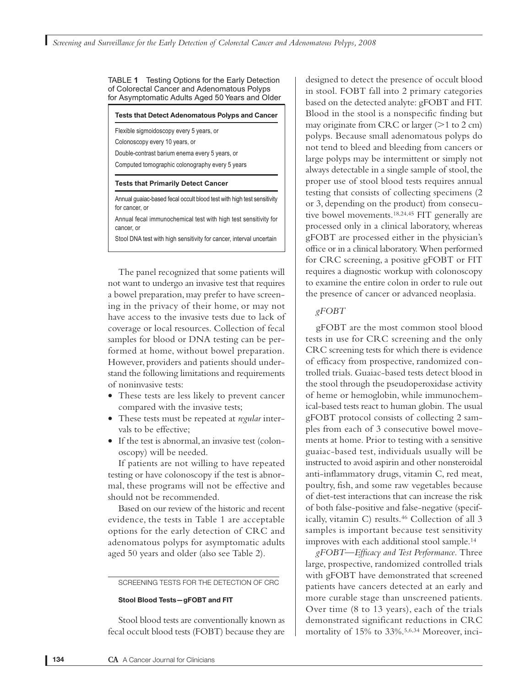TABLE **1** Testing Options for the Early Detection of Colorectal Cancer and Adenomatous Polyps for Asymptomatic Adults Aged 50 Years and Older

### **Tests that Detect Adenomatous Polyps and Cancer**

Flexible sigmoidoscopy every 5 years, or

Colonoscopy every 10 years, or

Double-contrast barium enema every 5 years, or

Computed tomographic colonography every 5 years

#### **Tests that Primarily Detect Cancer**

Annual guaiac-based fecal occult blood test with high test sensitivity for cancer, or

Annual fecal immunochemical test with high test sensitivity for cancer, or

Stool DNA test with high sensitivity for cancer, interval uncertain

The panel recognized that some patients will not want to undergo an invasive test that requires a bowel preparation, may prefer to have screening in the privacy of their home, or may not have access to the invasive tests due to lack of coverage or local resources. Collection of fecal samples for blood or DNA testing can be performed at home, without bowel preparation. However, providers and patients should understand the following limitations and requirements of noninvasive tests:

- These tests are less likely to prevent cancer compared with the invasive tests;
- These tests must be repeated at *regular* intervals to be effective;
- If the test is abnormal, an invasive test (colonoscopy) will be needed.

If patients are not willing to have repeated testing or have colonoscopy if the test is abnormal, these programs will not be effective and should not be recommended.

Based on our review of the historic and recent evidence, the tests in Table 1 are acceptable options for the early detection of CRC and adenomatous polyps for asymptomatic adults aged 50 years and older (also see Table 2).

SCREENING TESTS FOR THE DETECTION OF CRC

#### **Stool Blood Tests—gFOBT and FIT**

Stool blood tests are conventionally known as fecal occult blood tests (FOBT) because they are

designed to detect the presence of occult blood in stool. FOBT fall into 2 primary categories based on the detected analyte: gFOBT and FIT. Blood in the stool is a nonspecific finding but may originate from CRC or larger  $(>1$  to 2 cm) polyps. Because small adenomatous polyps do not tend to bleed and bleeding from cancers or large polyps may be intermittent or simply not always detectable in a single sample of stool, the proper use of stool blood tests requires annual testing that consists of collecting specimens (2 or 3, depending on the product) from consecutive bowel movements.18,24,45 FIT generally are processed only in a clinical laboratory, whereas gFOBT are processed either in the physician's office or in a clinical laboratory. When performed for CRC screening, a positive gFOBT or FIT requires a diagnostic workup with colonoscopy to examine the entire colon in order to rule out the presence of cancer or advanced neoplasia.

### *gFOBT*

gFOBT are the most common stool blood tests in use for CRC screening and the only CRC screening tests for which there is evidence of efficacy from prospective, randomized controlled trials. Guaiac-based tests detect blood in the stool through the pseudoperoxidase activity of heme or hemoglobin, while immunochemical-based tests react to human globin. The usual gFOBT protocol consists of collecting 2 samples from each of 3 consecutive bowel movements at home. Prior to testing with a sensitive guaiac-based test, individuals usually will be instructed to avoid aspirin and other nonsteroidal anti-inflammatory drugs, vitamin C, red meat, poultry, fish, and some raw vegetables because of diet-test interactions that can increase the risk of both false-positive and false-negative (specifically, vitamin C) results.<sup>46</sup> Collection of all 3 samples is important because test sensitivity improves with each additional stool sample.14

*gFOBT—Efficacy and Test Performance.* Three large, prospective, randomized controlled trials with gFOBT have demonstrated that screened patients have cancers detected at an early and more curable stage than unscreened patients. Over time (8 to 13 years), each of the trials demonstrated significant reductions in CRC mortality of 15% to 33%.5,6,34 Moreover, inci-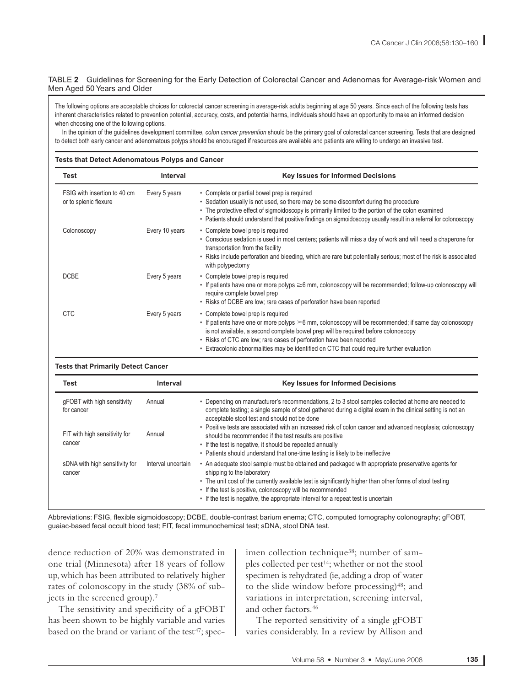### TABLE **2** Guidelines for Screening for the Early Detection of Colorectal Cancer and Adenomas for Average-risk Women and Men Aged 50 Years and Older

The following options are acceptable choices for colorectal cancer screening in average-risk adults beginning at age 50 years. Since each of the following tests has inherent characteristics related to prevention potential, accuracy, costs, and potential harms, individuals should have an opportunity to make an informed decision when choosing one of the following options.

In the opinion of the guidelines development committee, *colon cancer prevention* should be the primary goal of colorectal cancer screening. Tests that are designed to detect both early cancer and adenomatous polyps should be encouraged if resources are available and patients are willing to undergo an invasive test.

#### **Tests that Detect Adenomatous Polyps and Cancer**

| Test                                                  | Interval       | <b>Key Issues for Informed Decisions</b>                                                                                                                                                                                                                                                                                                                                                                      |
|-------------------------------------------------------|----------------|---------------------------------------------------------------------------------------------------------------------------------------------------------------------------------------------------------------------------------------------------------------------------------------------------------------------------------------------------------------------------------------------------------------|
| FSIG with insertion to 40 cm<br>or to splenic flexure | Every 5 years  | • Complete or partial bowel prep is required<br>• Sedation usually is not used, so there may be some discomfort during the procedure<br>• The protective effect of sigmoidoscopy is primarily limited to the portion of the colon examined<br>• Patients should understand that positive findings on sigmoidoscopy usually result in a referral for colonoscopy                                               |
| Colonoscopy                                           | Every 10 years | • Complete bowel prep is required<br>• Conscious sedation is used in most centers; patients will miss a day of work and will need a chaperone for<br>transportation from the facility<br>• Risks include perforation and bleeding, which are rare but potentially serious; most of the risk is associated<br>with polypectomy                                                                                 |
| <b>DCBE</b>                                           | Every 5 years  | • Complete bowel prep is required<br>• If patients have one or more polyps $\geq 6$ mm, colonoscopy will be recommended; follow-up colonoscopy will<br>require complete bowel prep<br>• Risks of DCBE are low; rare cases of perforation have been reported                                                                                                                                                   |
| <b>CTC</b>                                            | Every 5 years  | • Complete bowel prep is required<br>• If patients have one or more polyps $\geq 6$ mm, colonoscopy will be recommended; if same day colonoscopy<br>is not available, a second complete bowel prep will be required before colonoscopy<br>• Risks of CTC are low; rare cases of perforation have been reported<br>• Extracolonic abnormalities may be identified on CTC that could require further evaluation |

### **Tests that Primarily Detect Cancer**

| <b>Test</b>                               | Interval           | <b>Key Issues for Informed Decisions</b>                                                                                                                                                                                                                                                                                                                                                         |
|-------------------------------------------|--------------------|--------------------------------------------------------------------------------------------------------------------------------------------------------------------------------------------------------------------------------------------------------------------------------------------------------------------------------------------------------------------------------------------------|
| gFOBT with high sensitivity<br>for cancer | Annual             | • Depending on manufacturer's recommendations, 2 to 3 stool samples collected at home are needed to<br>complete testing; a single sample of stool gathered during a digital exam in the clinical setting is not an<br>acceptable stool test and should not be done                                                                                                                               |
| FIT with high sensitivity for<br>cancer   | Annual             | • Positive tests are associated with an increased risk of colon cancer and advanced neoplasia; colonoscopy<br>should be recommended if the test results are positive<br>• If the test is negative, it should be repeated annually<br>• Patients should understand that one-time testing is likely to be ineffective                                                                              |
| sDNA with high sensitivity for<br>cancer  | Interval uncertain | • An adequate stool sample must be obtained and packaged with appropriate preservative agents for<br>shipping to the laboratory<br>• The unit cost of the currently available test is significantly higher than other forms of stool testing<br>• If the test is positive, colonoscopy will be recommended<br>• If the test is negative, the appropriate interval for a repeat test is uncertain |

Abbreviations: FSIG, flexible sigmoidoscopy; DCBE, double-contrast barium enema; CTC, computed tomography colonography; gFOBT, guaiac-based fecal occult blood test; FIT, fecal immunochemical test; sDNA, stool DNA test.

dence reduction of 20% was demonstrated in one trial (Minnesota) after 18 years of follow up,which has been attributed to relatively higher rates of colonoscopy in the study (38% of subjects in the screened group).7

The sensitivity and specificity of a gFOBT has been shown to be highly variable and varies based on the brand or variant of the test<sup>47</sup>; spec-

imen collection technique<sup>38</sup>; number of samples collected per test<sup>14</sup>; whether or not the stool specimen is rehydrated (ie,adding a drop of water to the slide window before processing)<sup>48</sup>; and variations in interpretation, screening interval, and other factors.46

The reported sensitivity of a single gFOBT varies considerably. In a review by Allison and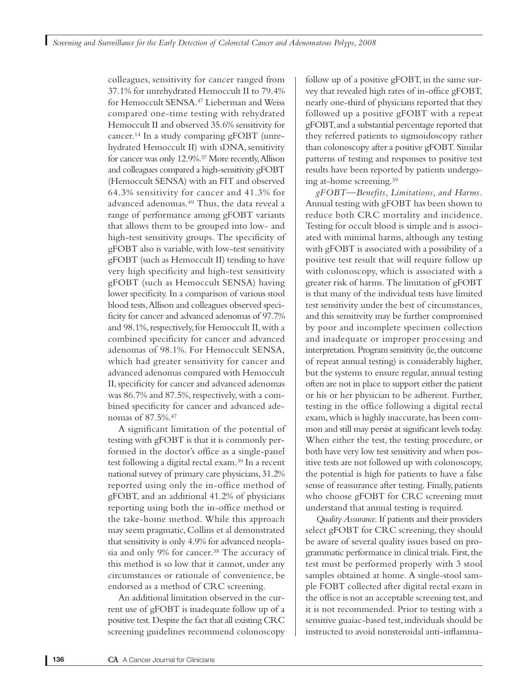colleagues, sensitivity for cancer ranged from 37.1% for unrehydrated Hemoccult II to 79.4% for Hemoccult SENSA.47 Lieberman and Weiss compared one-time testing with rehydrated Hemoccult II and observed 35.6% sensitivity for cancer.14 In a study comparing gFOBT (unrehydrated Hemoccult II) with sDNA, sensitivity for cancer was only 12.9%.<sup>37</sup> More recently, Allison and colleagues compared a high-sensitivity gFOBT (Hemoccult SENSA) with an FIT and observed 64.3% sensitivity for cancer and 41.3% for advanced adenomas.49 Thus, the data reveal a range of performance among gFOBT variants that allows them to be grouped into low- and high-test sensitivity groups. The specificity of gFOBT also is variable,with low-test sensitivity gFOBT (such as Hemoccult II) tending to have very high specificity and high-test sensitivity gFOBT (such as Hemoccult SENSA) having lower specificity. In a comparison of various stool blood tests,Allison and colleagues observed specificity for cancer and advanced adenomas of 97.7% and 98.1%, respectively, for Hemoccult II, with a combined specificity for cancer and advanced adenomas of 98.1%. For Hemoccult SENSA, which had greater sensitivity for cancer and advanced adenomas compared with Hemoccult II,specificity for cancer and advanced adenomas was 86.7% and 87.5%, respectively, with a combined specificity for cancer and advanced adenomas of 87.5%.47

A significant limitation of the potential of testing with gFOBT is that it is commonly performed in the doctor's office as a single-panel test following a digital rectal exam.39 In a recent national survey of primary care physicians,31.2% reported using only the in-office method of gFOBT, and an additional 41.2% of physicians reporting using both the in-office method or the take-home method. While this approach may seem pragmatic,Collins et al demonstrated that sensitivity is only 4.9% for advanced neoplasia and only 9% for cancer.<sup>38</sup> The accuracy of this method is so low that it cannot, under any circumstances or rationale of convenience, be endorsed as a method of CRC screening.

An additional limitation observed in the current use of gFOBT is inadequate follow up of a positive test. Despite the fact that all existing CRC screening guidelines recommend colonoscopy

follow up of a positive gFOBT, in the same survey that revealed high rates of in-office gFOBT, nearly one-third of physicians reported that they followed up a positive gFOBT with a repeat gFOBT,and a substantial percentage reported that they referred patients to sigmoidoscopy rather than colonoscopy after a positive gFOBT. Similar patterns of testing and responses to positive test results have been reported by patients undergoing at-home screening.39

*gFOBT—Benefits, Limitations, and Harms.* Annual testing with gFOBT has been shown to reduce both CRC mortality and incidence. Testing for occult blood is simple and is associated with minimal harms, although any testing with gFOBT is associated with a possibility of a positive test result that will require follow up with colonoscopy, which is associated with a greater risk of harms. The limitation of gFOBT is that many of the individual tests have limited test sensitivity under the best of circumstances, and this sensitivity may be further compromised by poor and incomplete specimen collection and inadequate or improper processing and interpretation. Program sensitivity (ie, the outcome of repeat annual testing) is considerably higher, but the systems to ensure regular, annual testing often are not in place to support either the patient or his or her physician to be adherent. Further, testing in the office following a digital rectal exam, which is highly inaccurate, has been common and still may persist at significant levels today. When either the test, the testing procedure, or both have very low test sensitivity and when positive tests are not followed up with colonoscopy, the potential is high for patients to have a false sense of reassurance after testing. Finally, patients who choose gFOBT for CRC screening must understand that annual testing is required.

*Quality Assurance.* If patients and their providers select gFOBT for CRC screening, they should be aware of several quality issues based on programmatic performance in clinical trials. First, the test must be performed properly with 3 stool samples obtained at home. A single-stool sample FOBT collected after digital rectal exam in the office is not an acceptable screening test, and it is not recommended. Prior to testing with a sensitive guaiac-based test, individuals should be instructed to avoid nonsteroidal anti-inflamma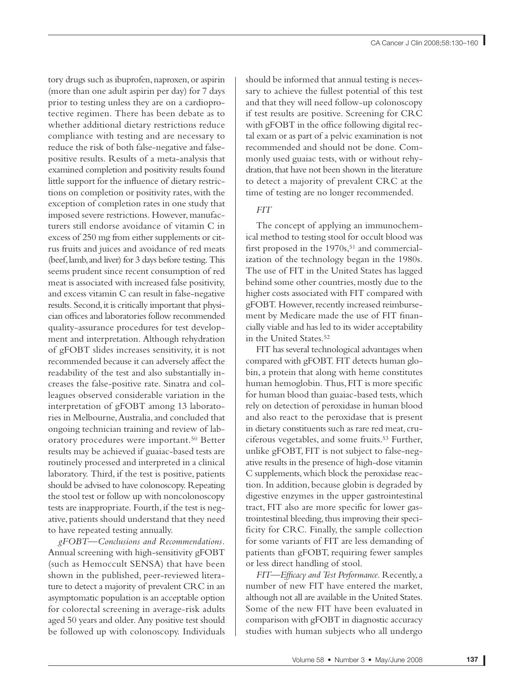tory drugs such as ibuprofen, naproxen, or aspirin (more than one adult aspirin per day) for 7 days prior to testing unless they are on a cardioprotective regimen. There has been debate as to whether additional dietary restrictions reduce compliance with testing and are necessary to reduce the risk of both false-negative and falsepositive results. Results of a meta-analysis that examined completion and positivity results found little support for the influence of dietary restrictions on completion or positivity rates,with the exception of completion rates in one study that imposed severe restrictions. However, manufacturers still endorse avoidance of vitamin C in excess of 250 mg from either supplements or citrus fruits and juices and avoidance of red meats (beef, lamb, and liver) for 3 days before testing. This seems prudent since recent consumption of red meat is associated with increased false positivity, and excess vitamin C can result in false-negative results. Second,it is critically important that physician offices and laboratories follow recommended quality-assurance procedures for test development and interpretation. Although rehydration of gFOBT slides increases sensitivity, it is not recommended because it can adversely affect the readability of the test and also substantially increases the false-positive rate. Sinatra and colleagues observed considerable variation in the interpretation of gFOBT among 13 laboratories in Melbourne,Australia,and concluded that ongoing technician training and review of laboratory procedures were important.50 Better results may be achieved if guaiac-based tests are routinely processed and interpreted in a clinical laboratory. Third, if the test is positive, patients should be advised to have colonoscopy. Repeating the stool test or follow up with noncolonoscopy tests are inappropriate. Fourth, if the test is negative, patients should understand that they need to have repeated testing annually.

*gFOBT—Conclusions and Recommendations.* Annual screening with high-sensitivity gFOBT (such as Hemoccult SENSA) that have been shown in the published, peer-reviewed literature to detect a majority of prevalent CRC in an asymptomatic population is an acceptable option for colorectal screening in average-risk adults aged 50 years and older. Any positive test should be followed up with colonoscopy. Individuals

should be informed that annual testing is necessary to achieve the fullest potential of this test and that they will need follow-up colonoscopy if test results are positive. Screening for CRC with gFOBT in the office following digital rectal exam or as part of a pelvic examination is not recommended and should not be done. Commonly used guaiac tests, with or without rehydration, that have not been shown in the literature to detect a majority of prevalent CRC at the time of testing are no longer recommended.

## *FIT*

The concept of applying an immunochemical method to testing stool for occult blood was first proposed in the  $1970s$ ,  $51$  and commercialization of the technology began in the 1980s. The use of FIT in the United States has lagged behind some other countries, mostly due to the higher costs associated with FIT compared with gFOBT. However, recently increased reimbursement by Medicare made the use of FIT financially viable and has led to its wider acceptability in the United States.<sup>52</sup>

FIT has several technological advantages when compared with gFOBT. FIT detects human globin, a protein that along with heme constitutes human hemoglobin. Thus, FIT is more specific for human blood than guaiac-based tests, which rely on detection of peroxidase in human blood and also react to the peroxidase that is present in dietary constituents such as rare red meat, cruciferous vegetables, and some fruits.53 Further, unlike gFOBT, FIT is not subject to false-negative results in the presence of high-dose vitamin C supplements,which block the peroxidase reaction. In addition, because globin is degraded by digestive enzymes in the upper gastrointestinal tract, FIT also are more specific for lower gastrointestinal bleeding, thus improving their specificity for CRC. Finally, the sample collection for some variants of FIT are less demanding of patients than gFOBT, requiring fewer samples or less direct handling of stool.

*FIT—Efficacy and Test Performance.* Recently,a number of new FIT have entered the market, although not all are available in the United States. Some of the new FIT have been evaluated in comparison with gFOBT in diagnostic accuracy studies with human subjects who all undergo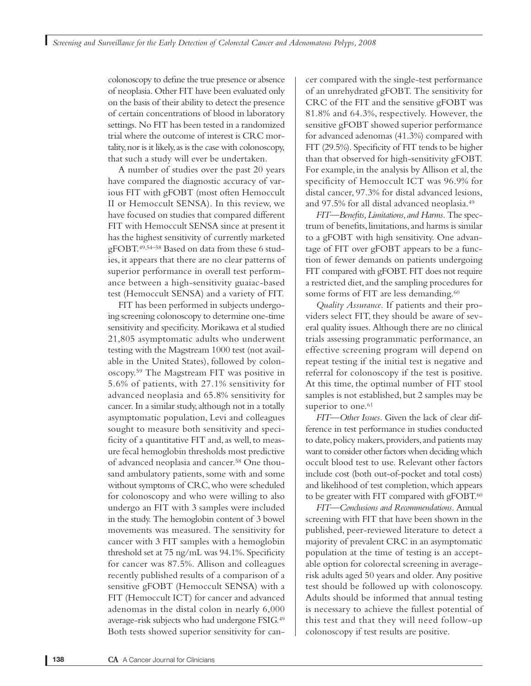colonoscopy to define the true presence or absence of neoplasia. Other FIT have been evaluated only on the basis of their ability to detect the presence of certain concentrations of blood in laboratory settings. No FIT has been tested in a randomized trial where the outcome of interest is CRC mortality, nor is it likely, as is the case with colonoscopy, that such a study will ever be undertaken.

A number of studies over the past 20 years have compared the diagnostic accuracy of various FIT with gFOBT (most often Hemoccult II or Hemoccult SENSA). In this review, we have focused on studies that compared different FIT with Hemoccult SENSA since at present it has the highest sensitivity of currently marketed gFOBT.49,54–58 Based on data from these 6 studies, it appears that there are no clear patterns of superior performance in overall test performance between a high-sensitivity guaiac-based test (Hemoccult SENSA) and a variety of FIT.

FIT has been performed in subjects undergoing screening colonoscopy to determine one-time sensitivity and specificity. Morikawa et al studied 21,805 asymptomatic adults who underwent testing with the Magstream 1000 test (not available in the United States), followed by colonoscopy.59 The Magstream FIT was positive in 5.6% of patients, with 27.1% sensitivity for advanced neoplasia and 65.8% sensitivity for cancer. In a similar study, although not in a totally asymptomatic population, Levi and colleagues sought to measure both sensitivity and specificity of a quantitative FIT and, as well, to measure fecal hemoglobin thresholds most predictive of advanced neoplasia and cancer.58 One thousand ambulatory patients, some with and some without symptoms of CRC, who were scheduled for colonoscopy and who were willing to also undergo an FIT with 3 samples were included in the study. The hemoglobin content of 3 bowel movements was measured. The sensitivity for cancer with 3 FIT samples with a hemoglobin threshold set at 75 ng/mL was 94.1%. Specificity for cancer was 87.5%. Allison and colleagues recently published results of a comparison of a sensitive gFOBT (Hemoccult SENSA) with a FIT (Hemoccult ICT) for cancer and advanced adenomas in the distal colon in nearly 6,000 average-risk subjects who had undergone FSIG.49 Both tests showed superior sensitivity for cancer compared with the single-test performance of an unrehydrated gFOBT. The sensitivity for CRC of the FIT and the sensitive gFOBT was 81.8% and 64.3%, respectively. However, the sensitive gFOBT showed superior performance for advanced adenomas (41.3%) compared with FIT (29.5%). Specificity of FIT tends to be higher than that observed for high-sensitivity gFOBT. For example, in the analysis by Allison et al, the specificity of Hemoccult ICT was 96.9% for distal cancer, 97.3% for distal advanced lesions, and 97.5% for all distal advanced neoplasia.49

*FIT—Benefits,Limitations,and Harms.* The spectrum of benefits, limitations, and harms is similar to a gFOBT with high sensitivity. One advantage of FIT over gFOBT appears to be a function of fewer demands on patients undergoing FIT compared with gFOBT. FIT does not require a restricted diet, and the sampling procedures for some forms of FIT are less demanding.<sup>60</sup>

*Quality Assurance.* If patients and their providers select FIT, they should be aware of several quality issues. Although there are no clinical trials assessing programmatic performance, an effective screening program will depend on repeat testing if the initial test is negative and referral for colonoscopy if the test is positive. At this time, the optimal number of FIT stool samples is not established, but 2 samples may be superior to one.<sup>61</sup>

*FIT—Other Issues.* Given the lack of clear difference in test performance in studies conducted to date,policy makers,providers,and patients may want to consider other factors when deciding which occult blood test to use. Relevant other factors include cost (both out-of-pocket and total costs) and likelihood of test completion, which appears to be greater with FIT compared with gFOBT.60

*FIT—Conclusions and Recommendations.* Annual screening with FIT that have been shown in the published, peer-reviewed literature to detect a majority of prevalent CRC in an asymptomatic population at the time of testing is an acceptable option for colorectal screening in averagerisk adults aged 50 years and older. Any positive test should be followed up with colonoscopy. Adults should be informed that annual testing is necessary to achieve the fullest potential of this test and that they will need follow-up colonoscopy if test results are positive.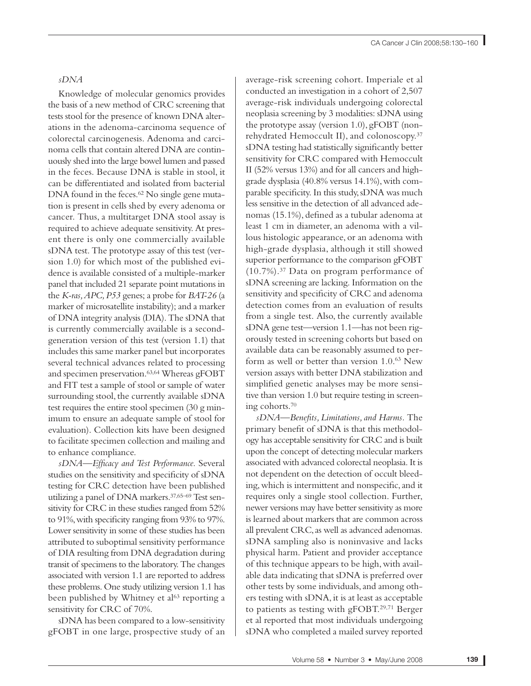### *sDNA*

Knowledge of molecular genomics provides the basis of a new method of CRC screening that tests stool for the presence of known DNA alterations in the adenoma-carcinoma sequence of colorectal carcinogenesis. Adenoma and carcinoma cells that contain altered DNA are continuously shed into the large bowel lumen and passed in the feces. Because DNA is stable in stool, it can be differentiated and isolated from bacterial DNA found in the feces.<sup>62</sup> No single gene mutation is present in cells shed by every adenoma or cancer. Thus, a multitarget DNA stool assay is required to achieve adequate sensitivity. At present there is only one commercially available sDNA test. The prototype assay of this test (version 1.0) for which most of the published evidence is available consisted of a multiple-marker panel that included 21 separate point mutations in the *K-ras,APC,P53* genes; a probe for *BAT-26* (a marker of microsatellite instability); and a marker of DNA integrity analysis (DIA). The sDNA that is currently commercially available is a secondgeneration version of this test (version 1.1) that includes this same marker panel but incorporates several technical advances related to processing and specimen preservation.63,64 Whereas gFOBT and FIT test a sample of stool or sample of water surrounding stool, the currently available sDNA test requires the entire stool specimen (30 g minimum to ensure an adequate sample of stool for evaluation). Collection kits have been designed to facilitate specimen collection and mailing and to enhance compliance.

*sDNA—Efficacy and Test Performance.* Several studies on the sensitivity and specificity of sDNA testing for CRC detection have been published utilizing a panel of DNA markers.37,65–69 Test sensitivity for CRC in these studies ranged from 52% to 91%, with specificity ranging from 93% to 97%. Lower sensitivity in some of these studies has been attributed to suboptimal sensitivity performance of DIA resulting from DNA degradation during transit of specimens to the laboratory. The changes associated with version 1.1 are reported to address these problems. One study utilizing version 1.1 has been published by Whitney et al<sup>63</sup> reporting a sensitivity for CRC of 70%.

sDNA has been compared to a low-sensitivity gFOBT in one large, prospective study of an

average-risk screening cohort. Imperiale et al conducted an investigation in a cohort of 2,507 average-risk individuals undergoing colorectal neoplasia screening by 3 modalities: sDNA using the prototype assay (version 1.0), gFOBT (nonrehydrated Hemoccult II), and colonoscopy.37 sDNA testing had statistically significantly better sensitivity for CRC compared with Hemoccult II (52% versus 13%) and for all cancers and highgrade dysplasia (40.8% versus 14.1%), with comparable specificity. In this study, sDNA was much less sensitive in the detection of all advanced adenomas (15.1%), defined as a tubular adenoma at least 1 cm in diameter, an adenoma with a villous histologic appearance, or an adenoma with high-grade dysplasia, although it still showed superior performance to the comparison gFOBT (10.7%).37 Data on program performance of sDNA screening are lacking. Information on the sensitivity and specificity of CRC and adenoma detection comes from an evaluation of results from a single test. Also, the currently available sDNA gene test—version 1.1—has not been rigorously tested in screening cohorts but based on available data can be reasonably assumed to perform as well or better than version 1.0.63 New version assays with better DNA stabilization and simplified genetic analyses may be more sensitive than version 1.0 but require testing in screening cohorts.70

*sDNA—Benefits, Limitations, and Harms.* The primary benefit of sDNA is that this methodology has acceptable sensitivity for CRC and is built upon the concept of detecting molecular markers associated with advanced colorectal neoplasia. It is not dependent on the detection of occult bleeding, which is intermittent and nonspecific, and it requires only a single stool collection. Further, newer versions may have better sensitivity as more is learned about markers that are common across all prevalent CRC, as well as advanced adenomas. sDNA sampling also is noninvasive and lacks physical harm. Patient and provider acceptance of this technique appears to be high, with available data indicating that sDNA is preferred over other tests by some individuals,and among others testing with sDNA, it is at least as acceptable to patients as testing with gFOBT.29,71 Berger et al reported that most individuals undergoing sDNA who completed a mailed survey reported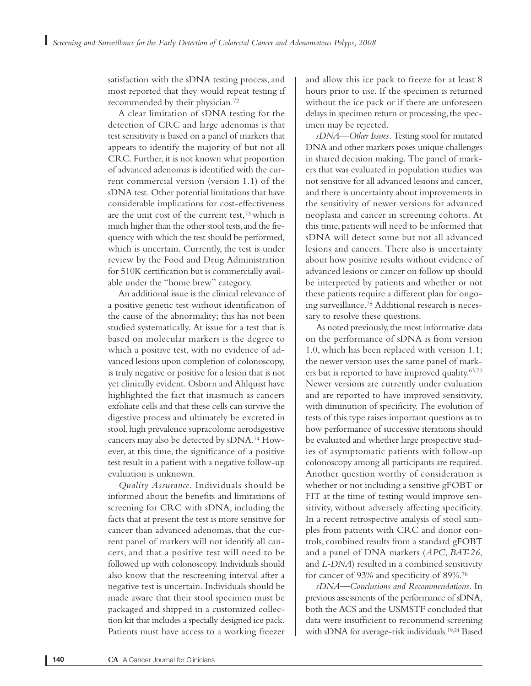satisfaction with the sDNA testing process, and most reported that they would repeat testing if recommended by their physician.72

A clear limitation of sDNA testing for the detection of CRC and large adenomas is that test sensitivity is based on a panel of markers that appears to identify the majority of but not all CRC. Further, it is not known what proportion of advanced adenomas is identified with the current commercial version (version 1.1) of the sDNA test. Other potential limitations that have considerable implications for cost-effectiveness are the unit cost of the current test,73 which is much higher than the other stool tests,and the frequency with which the test should be performed, which is uncertain. Currently, the test is under review by the Food and Drug Administration for 510K certification but is commercially available under the "home brew" category.

An additional issue is the clinical relevance of a positive genetic test without identification of the cause of the abnormality; this has not been studied systematically. At issue for a test that is based on molecular markers is the degree to which a positive test, with no evidence of advanced lesions upon completion of colonoscopy, is truly negative or positive for a lesion that is not yet clinically evident. Osborn and Ahlquist have highlighted the fact that inasmuch as cancers exfoliate cells and that these cells can survive the digestive process and ultimately be excreted in stool, high prevalence supracolonic aerodigestive cancers may also be detected by sDNA.74 However, at this time, the significance of a positive test result in a patient with a negative follow-up evaluation is unknown.

*Quality Assurance.* Individuals should be informed about the benefits and limitations of screening for CRC with sDNA, including the facts that at present the test is more sensitive for cancer than advanced adenomas, that the current panel of markers will not identify all cancers, and that a positive test will need to be followed up with colonoscopy. Individuals should also know that the rescreening interval after a negative test is uncertain. Individuals should be made aware that their stool specimen must be packaged and shipped in a customized collection kit that includes a specially designed ice pack. Patients must have access to a working freezer

and allow this ice pack to freeze for at least 8 hours prior to use. If the specimen is returned without the ice pack or if there are unforeseen delays in specimen return or processing, the specimen may be rejected.

*sDNA—Other Issues.* Testing stool for mutated DNA and other markers poses unique challenges in shared decision making. The panel of markers that was evaluated in population studies was not sensitive for all advanced lesions and cancer, and there is uncertainty about improvements in the sensitivity of newer versions for advanced neoplasia and cancer in screening cohorts. At this time, patients will need to be informed that sDNA will detect some but not all advanced lesions and cancers. There also is uncertainty about how positive results without evidence of advanced lesions or cancer on follow up should be interpreted by patients and whether or not these patients require a different plan for ongoing surveillance.75 Additional research is necessary to resolve these questions.

As noted previously, the most informative data on the performance of sDNA is from version 1.0, which has been replaced with version 1.1; the newer version uses the same panel of markers but is reported to have improved quality. $63,70$ Newer versions are currently under evaluation and are reported to have improved sensitivity, with diminution of specificity. The evolution of tests of this type raises important questions as to how performance of successive iterations should be evaluated and whether large prospective studies of asymptomatic patients with follow-up colonoscopy among all participants are required. Another question worthy of consideration is whether or not including a sensitive gFOBT or FIT at the time of testing would improve sensitivity, without adversely affecting specificity. In a recent retrospective analysis of stool samples from patients with CRC and donor controls, combined results from a standard gFOBT and a panel of DNA markers (*APC*, *BAT-26*, and *L-DNA*) resulted in a combined sensitivity for cancer of 93% and specificity of 89%.76

*sDNA—Conclusions and Recommendations.* In previous assessments of the performance of sDNA, both the ACS and the USMSTF concluded that data were insufficient to recommend screening with sDNA for average-risk individuals.19,24 Based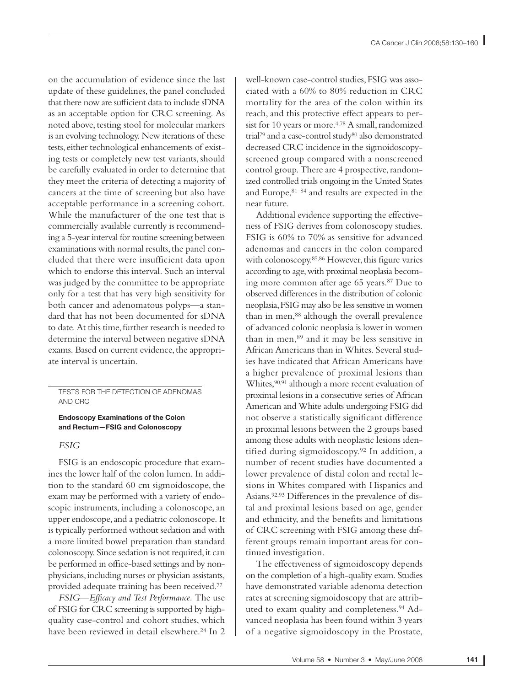on the accumulation of evidence since the last update of these guidelines, the panel concluded that there now are sufficient data to include sDNA as an acceptable option for CRC screening. As noted above, testing stool for molecular markers is an evolving technology. New iterations of these tests, either technological enhancements of existing tests or completely new test variants, should be carefully evaluated in order to determine that they meet the criteria of detecting a majority of cancers at the time of screening but also have acceptable performance in a screening cohort. While the manufacturer of the one test that is commercially available currently is recommending a 5-year interval for routine screening between examinations with normal results, the panel concluded that there were insufficient data upon which to endorse this interval. Such an interval was judged by the committee to be appropriate only for a test that has very high sensitivity for both cancer and adenomatous polyps—a standard that has not been documented for sDNA to date. At this time, further research is needed to determine the interval between negative sDNA exams. Based on current evidence, the appropriate interval is uncertain.

TESTS FOR THE DETECTION OF ADENOMAS AND CRC

### **Endoscopy Examinations of the Colon and Rectum—FSIG and Colonoscopy**

### *FSIG*

FSIG is an endoscopic procedure that examines the lower half of the colon lumen. In addition to the standard 60 cm sigmoidoscope, the exam may be performed with a variety of endoscopic instruments, including a colonoscope, an upper endoscope,and a pediatric colonoscope. It is typically performed without sedation and with a more limited bowel preparation than standard colonoscopy. Since sedation is not required,it can be performed in office-based settings and by nonphysicians,including nurses or physician assistants, provided adequate training has been received.77

*FSIG—Efficacy and Test Performance.* The use of FSIG for CRC screening is supported by highquality case-control and cohort studies, which have been reviewed in detail elsewhere.<sup>24</sup> In 2

well-known case-control studies,FSIG was associated with a 60% to 80% reduction in CRC mortality for the area of the colon within its reach, and this protective effect appears to persist for 10 years or more.<sup>4,78</sup> A small, randomized trial79 and a case-control study80 also demonstrated decreased CRC incidence in the sigmoidoscopyscreened group compared with a nonscreened control group. There are 4 prospective, randomized controlled trials ongoing in the United States and Europe,81–84 and results are expected in the near future.

Additional evidence supporting the effectiveness of FSIG derives from colonoscopy studies. FSIG is 60% to 70% as sensitive for advanced adenomas and cancers in the colon compared with colonoscopy.<sup>85,86</sup> However, this figure varies according to age,with proximal neoplasia becoming more common after age 65 years.87 Due to observed differences in the distribution of colonic neoplasia,FSIG may also be less sensitive in women than in men,<sup>88</sup> although the overall prevalence of advanced colonic neoplasia is lower in women than in men,89 and it may be less sensitive in African Americans than in Whites. Several studies have indicated that African Americans have a higher prevalence of proximal lesions than Whites, 90,91 although a more recent evaluation of proximal lesions in a consecutive series of African American and White adults undergoing FSIG did not observe a statistically significant difference in proximal lesions between the 2 groups based among those adults with neoplastic lesions identified during sigmoidoscopy.92 In addition, a number of recent studies have documented a lower prevalence of distal colon and rectal lesions in Whites compared with Hispanics and Asians.92,93 Differences in the prevalence of distal and proximal lesions based on age, gender and ethnicity, and the benefits and limitations of CRC screening with FSIG among these different groups remain important areas for continued investigation.

The effectiveness of sigmoidoscopy depends on the completion of a high-quality exam. Studies have demonstrated variable adenoma detection rates at screening sigmoidoscopy that are attributed to exam quality and completeness.94 Advanced neoplasia has been found within 3 years of a negative sigmoidoscopy in the Prostate,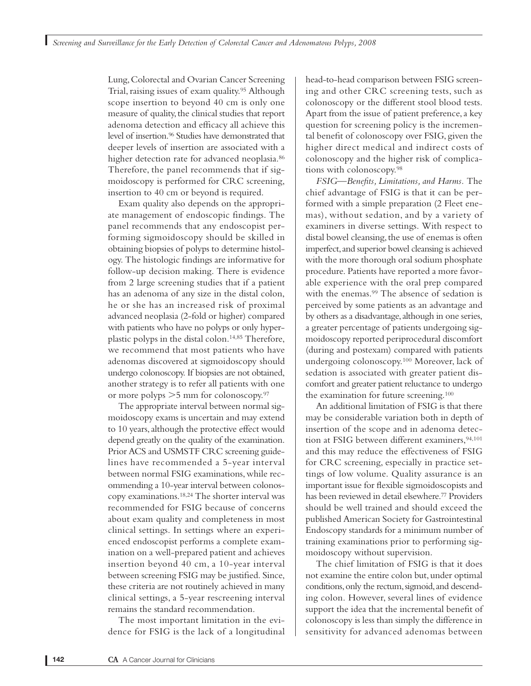Lung,Colorectal and Ovarian Cancer Screening Trial, raising issues of exam quality.95 Although scope insertion to beyond 40 cm is only one measure of quality, the clinical studies that report adenoma detection and efficacy all achieve this level of insertion.<sup>96</sup> Studies have demonstrated that deeper levels of insertion are associated with a higher detection rate for advanced neoplasia.<sup>86</sup> Therefore, the panel recommends that if sigmoidoscopy is performed for CRC screening, insertion to 40 cm or beyond is required.

Exam quality also depends on the appropriate management of endoscopic findings. The panel recommends that any endoscopist performing sigmoidoscopy should be skilled in obtaining biopsies of polyps to determine histology. The histologic findings are informative for follow-up decision making. There is evidence from 2 large screening studies that if a patient has an adenoma of any size in the distal colon, he or she has an increased risk of proximal advanced neoplasia (2-fold or higher) compared with patients who have no polyps or only hyperplastic polyps in the distal colon.14,85 Therefore, we recommend that most patients who have adenomas discovered at sigmoidoscopy should undergo colonoscopy. If biopsies are not obtained, another strategy is to refer all patients with one or more polyps  $>5$  mm for colonoscopy.<sup>97</sup>

The appropriate interval between normal sigmoidoscopy exams is uncertain and may extend to 10 years, although the protective effect would depend greatly on the quality of the examination. Prior ACS and USMSTF CRC screening guidelines have recommended a 5-year interval between normal FSIG examinations,while recommending a 10-year interval between colonoscopy examinations.18,24 The shorter interval was recommended for FSIG because of concerns about exam quality and completeness in most clinical settings. In settings where an experienced endoscopist performs a complete examination on a well-prepared patient and achieves insertion beyond 40 cm, a 10-year interval between screening FSIG may be justified. Since, these criteria are not routinely achieved in many clinical settings, a 5-year rescreening interval remains the standard recommendation.

The most important limitation in the evidence for FSIG is the lack of a longitudinal head-to-head comparison between FSIG screening and other CRC screening tests, such as colonoscopy or the different stool blood tests. Apart from the issue of patient preference, a key question for screening policy is the incremental benefit of colonoscopy over FSIG, given the higher direct medical and indirect costs of colonoscopy and the higher risk of complications with colonoscopy.98

*FSIG—Benefits, Limitations, and Harms.* The chief advantage of FSIG is that it can be performed with a simple preparation (2 Fleet enemas), without sedation, and by a variety of examiners in diverse settings. With respect to distal bowel cleansing, the use of enemas is often imperfect,and superior bowel cleansing is achieved with the more thorough oral sodium phosphate procedure. Patients have reported a more favorable experience with the oral prep compared with the enemas.<sup>99</sup> The absence of sedation is perceived by some patients as an advantage and by others as a disadvantage, although in one series, a greater percentage of patients undergoing sigmoidoscopy reported periprocedural discomfort (during and postexam) compared with patients undergoing colonoscopy.100 Moreover, lack of sedation is associated with greater patient discomfort and greater patient reluctance to undergo the examination for future screening.100

An additional limitation of FSIG is that there may be considerable variation both in depth of insertion of the scope and in adenoma detection at FSIG between different examiners, 94,101 and this may reduce the effectiveness of FSIG for CRC screening, especially in practice settings of low volume. Quality assurance is an important issue for flexible sigmoidoscopists and has been reviewed in detail elsewhere.<sup>77</sup> Providers should be well trained and should exceed the published American Society for Gastrointestinal Endoscopy standards for a minimum number of training examinations prior to performing sigmoidoscopy without supervision.

The chief limitation of FSIG is that it does not examine the entire colon but,under optimal conditions,only the rectum,sigmoid,and descending colon. However, several lines of evidence support the idea that the incremental benefit of colonoscopy is less than simply the difference in sensitivity for advanced adenomas between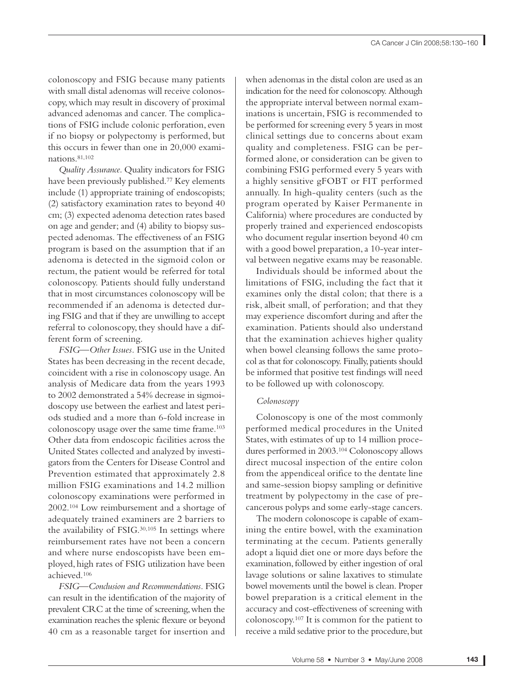colonoscopy and FSIG because many patients with small distal adenomas will receive colonoscopy,which may result in discovery of proximal advanced adenomas and cancer. The complications of FSIG include colonic perforation, even if no biopsy or polypectomy is performed, but this occurs in fewer than one in 20,000 examinations.81,102

*Quality Assurance.* Quality indicators for FSIG have been previously published.77 Key elements include (1) appropriate training of endoscopists; (2) satisfactory examination rates to beyond 40 cm; (3) expected adenoma detection rates based on age and gender; and (4) ability to biopsy suspected adenomas. The effectiveness of an FSIG program is based on the assumption that if an adenoma is detected in the sigmoid colon or rectum, the patient would be referred for total colonoscopy. Patients should fully understand that in most circumstances colonoscopy will be recommended if an adenoma is detected during FSIG and that if they are unwilling to accept referral to colonoscopy, they should have a different form of screening.

*FSIG—Other Issues.* FSIG use in the United States has been decreasing in the recent decade, coincident with a rise in colonoscopy usage. An analysis of Medicare data from the years 1993 to 2002 demonstrated a 54% decrease in sigmoidoscopy use between the earliest and latest periods studied and a more than 6-fold increase in colonoscopy usage over the same time frame.103 Other data from endoscopic facilities across the United States collected and analyzed by investigators from the Centers for Disease Control and Prevention estimated that approximately 2.8 million FSIG examinations and 14.2 million colonoscopy examinations were performed in 2002.104 Low reimbursement and a shortage of adequately trained examiners are 2 barriers to the availability of FSIG.30,105 In settings where reimbursement rates have not been a concern and where nurse endoscopists have been employed, high rates of FSIG utilization have been achieved.106

*FSIG—Conclusion and Recommendations.* FSIG can result in the identification of the majority of prevalent CRC at the time of screening,when the examination reaches the splenic flexure or beyond 40 cm as a reasonable target for insertion and

when adenomas in the distal colon are used as an indication for the need for colonoscopy. Although the appropriate interval between normal examinations is uncertain, FSIG is recommended to be performed for screening every 5 years in most clinical settings due to concerns about exam quality and completeness. FSIG can be performed alone, or consideration can be given to combining FSIG performed every 5 years with a highly sensitive gFOBT or FIT performed annually. In high-quality centers (such as the program operated by Kaiser Permanente in California) where procedures are conducted by properly trained and experienced endoscopists who document regular insertion beyond 40 cm with a good bowel preparation, a 10-year interval between negative exams may be reasonable.

Individuals should be informed about the limitations of FSIG, including the fact that it examines only the distal colon; that there is a risk, albeit small, of perforation; and that they may experience discomfort during and after the examination. Patients should also understand that the examination achieves higher quality when bowel cleansing follows the same protocol as that for colonoscopy. Finally, patients should be informed that positive test findings will need to be followed up with colonoscopy.

### *Colonoscopy*

Colonoscopy is one of the most commonly performed medical procedures in the United States, with estimates of up to 14 million procedures performed in 2003.104 Colonoscopy allows direct mucosal inspection of the entire colon from the appendiceal orifice to the dentate line and same-session biopsy sampling or definitive treatment by polypectomy in the case of precancerous polyps and some early-stage cancers.

The modern colonoscope is capable of examining the entire bowel, with the examination terminating at the cecum. Patients generally adopt a liquid diet one or more days before the examination, followed by either ingestion of oral lavage solutions or saline laxatives to stimulate bowel movements until the bowel is clean. Proper bowel preparation is a critical element in the accuracy and cost-effectiveness of screening with colonoscopy.107 It is common for the patient to receive a mild sedative prior to the procedure, but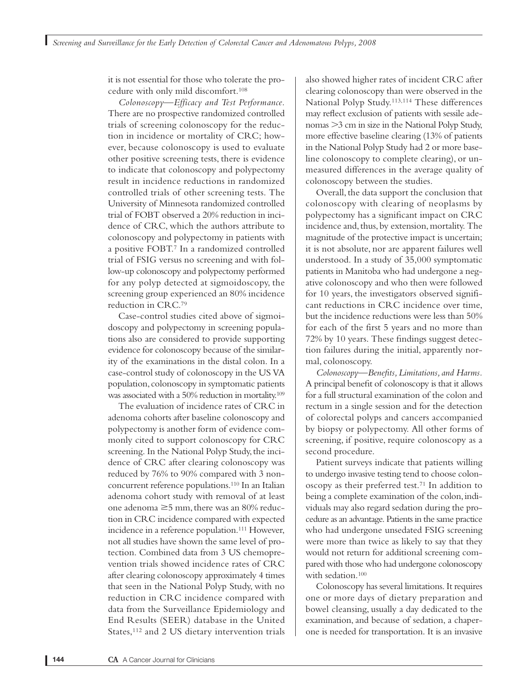it is not essential for those who tolerate the procedure with only mild discomfort.108

*Colonoscopy—Efficacy and Test Performance.* There are no prospective randomized controlled trials of screening colonoscopy for the reduction in incidence or mortality of CRC; however, because colonoscopy is used to evaluate other positive screening tests, there is evidence to indicate that colonoscopy and polypectomy result in incidence reductions in randomized controlled trials of other screening tests. The University of Minnesota randomized controlled trial of FOBT observed a 20% reduction in incidence of CRC, which the authors attribute to colonoscopy and polypectomy in patients with a positive FOBT.7 In a randomized controlled trial of FSIG versus no screening and with follow-up colonoscopy and polypectomy performed for any polyp detected at sigmoidoscopy, the screening group experienced an 80% incidence reduction in CRC.79

Case-control studies cited above of sigmoidoscopy and polypectomy in screening populations also are considered to provide supporting evidence for colonoscopy because of the similarity of the examinations in the distal colon. In a case-control study of colonoscopy in the US VA population, colonoscopy in symptomatic patients was associated with a 50% reduction in mortality.109

The evaluation of incidence rates of CRC in adenoma cohorts after baseline colonoscopy and polypectomy is another form of evidence commonly cited to support colonoscopy for CRC screening. In the National Polyp Study, the incidence of CRC after clearing colonoscopy was reduced by 76% to 90% compared with 3 nonconcurrent reference populations.110 In an Italian adenoma cohort study with removal of at least one adenoma  $\geq$ 5 mm, there was an 80% reduction in CRC incidence compared with expected incidence in a reference population.111 However, not all studies have shown the same level of protection. Combined data from 3 US chemoprevention trials showed incidence rates of CRC after clearing colonoscopy approximately 4 times that seen in the National Polyp Study, with no reduction in CRC incidence compared with data from the Surveillance Epidemiology and End Results (SEER) database in the United States,112 and 2 US dietary intervention trials

also showed higher rates of incident CRC after clearing colonoscopy than were observed in the National Polyp Study.113,114 These differences may reflect exclusion of patients with sessile adenomas  $>3$  cm in size in the National Polyp Study, more effective baseline clearing (13% of patients in the National Polyp Study had 2 or more baseline colonoscopy to complete clearing), or unmeasured differences in the average quality of colonoscopy between the studies.

Overall, the data support the conclusion that colonoscopy with clearing of neoplasms by polypectomy has a significant impact on CRC incidence and, thus, by extension, mortality. The magnitude of the protective impact is uncertain; it is not absolute, nor are apparent failures well understood. In a study of 35,000 symptomatic patients in Manitoba who had undergone a negative colonoscopy and who then were followed for 10 years, the investigators observed significant reductions in CRC incidence over time, but the incidence reductions were less than 50% for each of the first 5 years and no more than 72% by 10 years. These findings suggest detection failures during the initial, apparently normal, colonoscopy.

*Colonoscopy—Benefits,Limitations,and Harms.* A principal benefit of colonoscopy is that it allows for a full structural examination of the colon and rectum in a single session and for the detection of colorectal polyps and cancers accompanied by biopsy or polypectomy. All other forms of screening, if positive, require colonoscopy as a second procedure.

Patient surveys indicate that patients willing to undergo invasive testing tend to choose colonoscopy as their preferred test.71 In addition to being a complete examination of the colon, individuals may also regard sedation during the procedure as an advantage. Patients in the same practice who had undergone unsedated FSIG screening were more than twice as likely to say that they would not return for additional screening compared with those who had undergone colonoscopy with sedation.100

Colonoscopy has several limitations. It requires one or more days of dietary preparation and bowel cleansing, usually a day dedicated to the examination, and because of sedation, a chaperone is needed for transportation. It is an invasive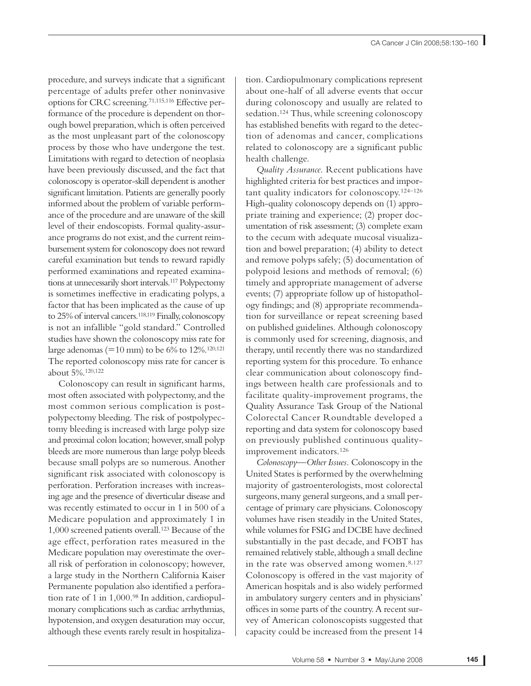procedure, and surveys indicate that a significant percentage of adults prefer other noninvasive options for CRC screening.71,115,116 Effective performance of the procedure is dependent on thorough bowel preparation,which is often perceived as the most unpleasant part of the colonoscopy process by those who have undergone the test. Limitations with regard to detection of neoplasia have been previously discussed, and the fact that colonoscopy is operator-skill dependent is another significant limitation. Patients are generally poorly informed about the problem of variable performance of the procedure and are unaware of the skill level of their endoscopists. Formal quality-assurance programs do not exist,and the current reimbursement system for colonoscopy does not reward careful examination but tends to reward rapidly performed examinations and repeated examinations at unnecessarily short intervals.117 Polypectomy is sometimes ineffective in eradicating polyps, a factor that has been implicated as the cause of up to 25% of interval cancers.<sup>118,119</sup> Finally, colonoscopy is not an infallible "gold standard." Controlled studies have shown the colonoscopy miss rate for large adenomas (=10 mm) to be 6% to 12%.<sup>120,121</sup> The reported colonoscopy miss rate for cancer is about 5%.120,122

Colonoscopy can result in significant harms, most often associated with polypectomy,and the most common serious complication is postpolypectomy bleeding. The risk of postpolypectomy bleeding is increased with large polyp size and proximal colon location; however,small polyp bleeds are more numerous than large polyp bleeds because small polyps are so numerous. Another significant risk associated with colonoscopy is perforation. Perforation increases with increasing age and the presence of diverticular disease and was recently estimated to occur in 1 in 500 of a Medicare population and approximately 1 in 1,000 screened patients overall.123 Because of the age effect, perforation rates measured in the Medicare population may overestimate the overall risk of perforation in colonoscopy; however, a large study in the Northern California Kaiser Permanente population also identified a perforation rate of 1 in 1,000.98 In addition, cardiopulmonary complications such as cardiac arrhythmias, hypotension,and oxygen desaturation may occur, although these events rarely result in hospitaliza-

tion. Cardiopulmonary complications represent about one-half of all adverse events that occur during colonoscopy and usually are related to sedation.<sup>124</sup> Thus, while screening colonoscopy has established benefits with regard to the detection of adenomas and cancer, complications related to colonoscopy are a significant public health challenge.

*Quality Assurance.* Recent publications have highlighted criteria for best practices and important quality indicators for colonoscopy.124–126 High-quality colonoscopy depends on (1) appropriate training and experience; (2) proper documentation of risk assessment; (3) complete exam to the cecum with adequate mucosal visualization and bowel preparation; (4) ability to detect and remove polyps safely; (5) documentation of polypoid lesions and methods of removal; (6) timely and appropriate management of adverse events; (7) appropriate follow up of histopathology findings; and (8) appropriate recommendation for surveillance or repeat screening based on published guidelines. Although colonoscopy is commonly used for screening, diagnosis, and therapy,until recently there was no standardized reporting system for this procedure. To enhance clear communication about colonoscopy findings between health care professionals and to facilitate quality-improvement programs, the Quality Assurance Task Group of the National Colorectal Cancer Roundtable developed a reporting and data system for colonoscopy based on previously published continuous qualityimprovement indicators.126

*Colonoscopy—Other Issues.* Colonoscopy in the United States is performed by the overwhelming majority of gastroenterologists, most colorectal surgeons,many general surgeons,and a small percentage of primary care physicians. Colonoscopy volumes have risen steadily in the United States, while volumes for FSIG and DCBE have declined substantially in the past decade, and FOBT has remained relatively stable, although a small decline in the rate was observed among women.<sup>8,127</sup> Colonoscopy is offered in the vast majority of American hospitals and is also widely performed in ambulatory surgery centers and in physicians' offices in some parts of the country. A recent survey of American colonoscopists suggested that capacity could be increased from the present 14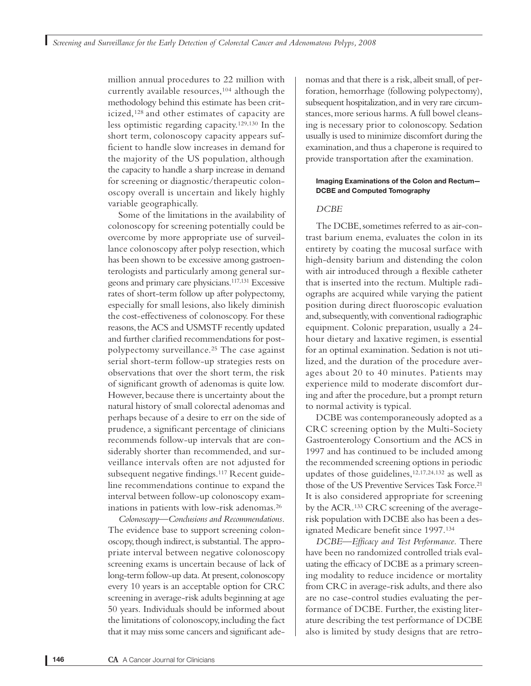million annual procedures to 22 million with currently available resources,104 although the methodology behind this estimate has been criticized,128 and other estimates of capacity are less optimistic regarding capacity.129,130 In the short term, colonoscopy capacity appears sufficient to handle slow increases in demand for the majority of the US population, although the capacity to handle a sharp increase in demand for screening or diagnostic/therapeutic colonoscopy overall is uncertain and likely highly variable geographically.

Some of the limitations in the availability of colonoscopy for screening potentially could be overcome by more appropriate use of surveillance colonoscopy after polyp resection, which has been shown to be excessive among gastroenterologists and particularly among general surgeons and primary care physicians.117,131 Excessive rates of short-term follow up after polypectomy, especially for small lesions, also likely diminish the cost-effectiveness of colonoscopy. For these reasons, the ACS and USMSTF recently updated and further clarified recommendations for postpolypectomy surveillance.25 The case against serial short-term follow-up strategies rests on observations that over the short term, the risk of significant growth of adenomas is quite low. However, because there is uncertainty about the natural history of small colorectal adenomas and perhaps because of a desire to err on the side of prudence, a significant percentage of clinicians recommends follow-up intervals that are considerably shorter than recommended, and surveillance intervals often are not adjusted for subsequent negative findings.<sup>117</sup> Recent guideline recommendations continue to expand the interval between follow-up colonoscopy examinations in patients with low-risk adenomas.26

*Colonoscopy—Conclusions and Recommendations.* The evidence base to support screening colonoscopy, though indirect, is substantial. The appropriate interval between negative colonoscopy screening exams is uncertain because of lack of long-term follow-up data. At present, colonoscopy every 10 years is an acceptable option for CRC screening in average-risk adults beginning at age 50 years. Individuals should be informed about the limitations of colonoscopy,including the fact that it may miss some cancers and significant adenomas and that there is a risk, albeit small, of perforation, hemorrhage (following polypectomy), subsequent hospitalization,and in very rare circumstances,more serious harms. A full bowel cleansing is necessary prior to colonoscopy. Sedation usually is used to minimize discomfort during the examination, and thus a chaperone is required to provide transportation after the examination.

#### **Imaging Examinations of the Colon and Rectum— DCBE and Computed Tomography**

### *DCBE*

The DCBE, sometimes referred to as air-contrast barium enema, evaluates the colon in its entirety by coating the mucosal surface with high-density barium and distending the colon with air introduced through a flexible catheter that is inserted into the rectum. Multiple radiographs are acquired while varying the patient position during direct fluoroscopic evaluation and, subsequently, with conventional radiographic equipment. Colonic preparation, usually a 24 hour dietary and laxative regimen, is essential for an optimal examination. Sedation is not utilized, and the duration of the procedure averages about 20 to 40 minutes. Patients may experience mild to moderate discomfort during and after the procedure, but a prompt return to normal activity is typical.

DCBE was contemporaneously adopted as a CRC screening option by the Multi-Society Gastroenterology Consortium and the ACS in 1997 and has continued to be included among the recommended screening options in periodic updates of those guidelines,12,17,24,132 as well as those of the US Preventive Services Task Force.<sup>21</sup> It is also considered appropriate for screening by the ACR.133 CRC screening of the averagerisk population with DCBE also has been a designated Medicare benefit since 1997.134

*DCBE—Efficacy and Test Performance.* There have been no randomized controlled trials evaluating the efficacy of DCBE as a primary screening modality to reduce incidence or mortality from CRC in average-risk adults, and there also are no case-control studies evaluating the performance of DCBE. Further, the existing literature describing the test performance of DCBE also is limited by study designs that are retro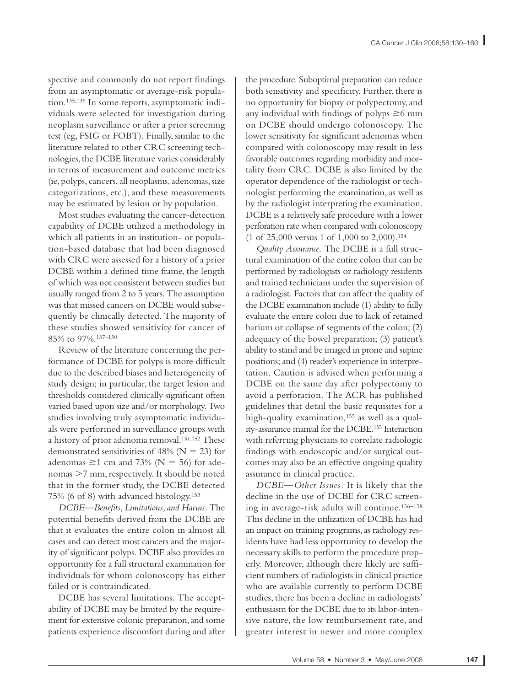spective and commonly do not report findings from an asymptomatic or average-risk population.135,136 In some reports, asymptomatic individuals were selected for investigation during neoplasm surveillance or after a prior screening test (eg, FSIG or FOBT). Finally, similar to the literature related to other CRC screening technologies, the DCBE literature varies considerably in terms of measurement and outcome metrics (ie,polyps,cancers,all neoplasms,adenomas,size categorizations, etc.), and these measurements may be estimated by lesion or by population.

Most studies evaluating the cancer-detection capability of DCBE utilized a methodology in which all patients in an institution- or population-based database that had been diagnosed with CRC were assessed for a history of a prior DCBE within a defined time frame, the length of which was not consistent between studies but usually ranged from 2 to 5 years. The assumption was that missed cancers on DCBE would subsequently be clinically detected. The majority of these studies showed sensitivity for cancer of 85% to 97%.137–150

Review of the literature concerning the performance of DCBE for polyps is more difficult due to the described biases and heterogeneity of study design; in particular, the target lesion and thresholds considered clinically significant often varied based upon size and/or morphology. Two studies involving truly asymptomatic individuals were performed in surveillance groups with a history of prior adenoma removal.151,152 These demonstrated sensitivities of 48% ( $N = 23$ ) for adenomas  $\geq$ 1 cm and 73% (N = 56) for adenomas >7 mm, respectively. It should be noted that in the former study, the DCBE detected 75% (6 of 8) with advanced histology.153

*DCBE—Benefits,Limitations,and Harms.* The potential benefits derived from the DCBE are that it evaluates the entire colon in almost all cases and can detect most cancers and the majority of significant polyps. DCBE also provides an opportunity for a full structural examination for individuals for whom colonoscopy has either failed or is contraindicated.

DCBE has several limitations. The acceptability of DCBE may be limited by the requirement for extensive colonic preparation, and some patients experience discomfort during and after

the procedure. Suboptimal preparation can reduce both sensitivity and specificity. Further, there is no opportunity for biopsy or polypectomy, and any individual with findings of polyps  $\geq$ 6 mm on DCBE should undergo colonoscopy. The lower sensitivity for significant adenomas when compared with colonoscopy may result in less favorable outcomes regarding morbidity and mortality from CRC. DCBE is also limited by the operator dependence of the radiologist or technologist performing the examination, as well as by the radiologist interpreting the examination. DCBE is a relatively safe procedure with a lower perforation rate when compared with colonoscopy (1 of 25,000 versus 1 of 1,000 to 2,000).154

*Quality Assurance.* The DCBE is a full structural examination of the entire colon that can be performed by radiologists or radiology residents and trained technicians under the supervision of a radiologist. Factors that can affect the quality of the DCBE examination include (1) ability to fully evaluate the entire colon due to lack of retained barium or collapse of segments of the colon; (2) adequacy of the bowel preparation; (3) patient's ability to stand and be imaged in prone and supine positions; and (4) reader's experience in interpretation. Caution is advised when performing a DCBE on the same day after polypectomy to avoid a perforation. The ACR has published guidelines that detail the basic requisites for a high-quality examination,<sup>155</sup> as well as a quality-assurance manual for the DCBE.155 Interaction with referring physicians to correlate radiologic findings with endoscopic and/or surgical outcomes may also be an effective ongoing quality assurance in clinical practice.

*DCBE—Other Issues.* It is likely that the decline in the use of DCBE for CRC screening in average-risk adults will continue.156–158 This decline in the utilization of DCBE has had an impact on training programs, as radiology residents have had less opportunity to develop the necessary skills to perform the procedure properly. Moreover, although there likely are sufficient numbers of radiologists in clinical practice who are available currently to perform DCBE studies, there has been a decline in radiologists' enthusiasm for the DCBE due to its labor-intensive nature, the low reimbursement rate, and greater interest in newer and more complex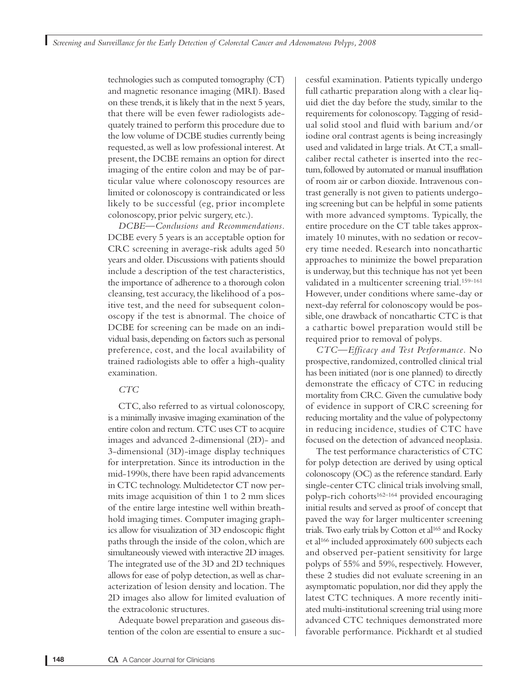technologies such as computed tomography (CT) and magnetic resonance imaging (MRI). Based on these trends,it is likely that in the next 5 years, that there will be even fewer radiologists adequately trained to perform this procedure due to the low volume of DCBE studies currently being requested,as well as low professional interest. At present, the DCBE remains an option for direct imaging of the entire colon and may be of particular value where colonoscopy resources are limited or colonoscopy is contraindicated or less likely to be successful (eg, prior incomplete colonoscopy, prior pelvic surgery, etc.).

*DCBE—Conclusions and Recommendations.* DCBE every 5 years is an acceptable option for CRC screening in average-risk adults aged 50 years and older. Discussions with patients should include a description of the test characteristics, the importance of adherence to a thorough colon cleansing, test accuracy, the likelihood of a positive test, and the need for subsequent colonoscopy if the test is abnormal. The choice of DCBE for screening can be made on an individual basis, depending on factors such as personal preference, cost, and the local availability of trained radiologists able to offer a high-quality examination.

### *CTC*

CTC, also referred to as virtual colonoscopy, is a minimally invasive imaging examination of the entire colon and rectum. CTC uses CT to acquire images and advanced 2-dimensional (2D)- and 3-dimensional (3D)-image display techniques for interpretation. Since its introduction in the mid-1990s, there have been rapid advancements in CTC technology. Multidetector CT now permits image acquisition of thin 1 to 2 mm slices of the entire large intestine well within breathhold imaging times. Computer imaging graphics allow for visualization of 3D endoscopic flight paths through the inside of the colon,which are simultaneously viewed with interactive 2D images. The integrated use of the 3D and 2D techniques allows for ease of polyp detection, as well as characterization of lesion density and location. The 2D images also allow for limited evaluation of the extracolonic structures.

Adequate bowel preparation and gaseous distention of the colon are essential to ensure a successful examination. Patients typically undergo full cathartic preparation along with a clear liquid diet the day before the study, similar to the requirements for colonoscopy. Tagging of residual solid stool and fluid with barium and/or iodine oral contrast agents is being increasingly used and validated in large trials. At CT, a smallcaliber rectal catheter is inserted into the rectum, followed by automated or manual insufflation of room air or carbon dioxide. Intravenous contrast generally is not given to patients undergoing screening but can be helpful in some patients with more advanced symptoms. Typically, the entire procedure on the CT table takes approximately 10 minutes, with no sedation or recovery time needed. Research into noncathartic approaches to minimize the bowel preparation is underway, but this technique has not yet been validated in a multicenter screening trial.159–161 However, under conditions where same-day or next-day referral for colonoscopy would be possible, one drawback of noncathartic CTC is that a cathartic bowel preparation would still be required prior to removal of polyps.

*CTC—Efficacy and Test Performance.* No prospective, randomized, controlled clinical trial has been initiated (nor is one planned) to directly demonstrate the efficacy of CTC in reducing mortality from CRC. Given the cumulative body of evidence in support of CRC screening for reducing mortality and the value of polypectomy in reducing incidence, studies of CTC have focused on the detection of advanced neoplasia.

The test performance characteristics of CTC for polyp detection are derived by using optical colonoscopy (OC) as the reference standard. Early single-center CTC clinical trials involving small, polyp-rich cohorts162–164 provided encouraging initial results and served as proof of concept that paved the way for larger multicenter screening trials. Two early trials by Cotton et al165 and Rocky et al166 included approximately 600 subjects each and observed per-patient sensitivity for large polyps of 55% and 59%, respectively. However, these 2 studies did not evaluate screening in an asymptomatic population,nor did they apply the latest CTC techniques. A more recently initiated multi-institutional screening trial using more advanced CTC techniques demonstrated more favorable performance. Pickhardt et al studied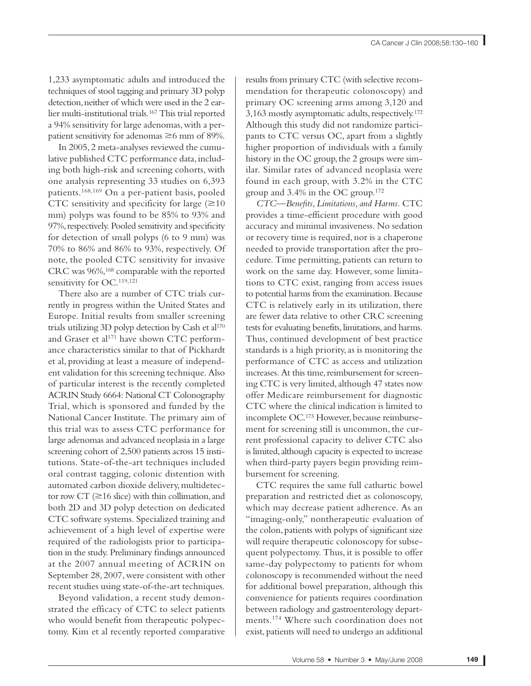1,233 asymptomatic adults and introduced the techniques of stool tagging and primary 3D polyp detection, neither of which were used in the 2 earlier multi-institutional trials.167 This trial reported a 94% sensitivity for large adenomas, with a perpatient sensitivity for adenomas  $\geq$ 6 mm of 89%.

In 2005,2 meta-analyses reviewed the cumulative published CTC performance data, including both high-risk and screening cohorts, with one analysis representing 33 studies on 6,393 patients.168,169 On a per-patient basis, pooled CTC sensitivity and specificity for large  $(\geq 10$ mm) polyps was found to be 85% to 93% and 97%, respectively. Pooled sensitivity and specificity for detection of small polyps (6 to 9 mm) was 70% to 86% and 86% to 93%, respectively. Of note, the pooled CTC sensitivity for invasive CRC was 96%,168 comparable with the reported sensitivity for OC.<sup>119,121</sup>

There also are a number of CTC trials currently in progress within the United States and Europe. Initial results from smaller screening trials utilizing 3D polyp detection by Cash et al<sup>170</sup> and Graser et al<sup>171</sup> have shown CTC performance characteristics similar to that of Pickhardt et al, providing at least a measure of independent validation for this screening technique. Also of particular interest is the recently completed ACRIN Study 6664: National CT Colonography Trial, which is sponsored and funded by the National Cancer Institute. The primary aim of this trial was to assess CTC performance for large adenomas and advanced neoplasia in a large screening cohort of 2,500 patients across 15 institutions. State-of-the-art techniques included oral contrast tagging, colonic distention with automated carbon dioxide delivery, multidetector row CT ( $\geq$ 16 slice) with thin collimation, and both 2D and 3D polyp detection on dedicated CTC software systems. Specialized training and achievement of a high level of expertise were required of the radiologists prior to participation in the study. Preliminary findings announced at the 2007 annual meeting of ACRIN on September 28,2007,were consistent with other recent studies using state-of-the-art techniques.

Beyond validation, a recent study demonstrated the efficacy of CTC to select patients who would benefit from therapeutic polypectomy. Kim et al recently reported comparative

results from primary CTC (with selective recommendation for therapeutic colonoscopy) and primary OC screening arms among 3,120 and 3,163 mostly asymptomatic adults, respectively.<sup>172</sup> Although this study did not randomize participants to CTC versus OC, apart from a slightly higher proportion of individuals with a family history in the OC group, the 2 groups were similar. Similar rates of advanced neoplasia were found in each group, with 3.2% in the CTC group and 3.4% in the OC group.172

*CTC—Benefits,Limitations,and Harms.* CTC provides a time-efficient procedure with good accuracy and minimal invasiveness. No sedation or recovery time is required, nor is a chaperone needed to provide transportation after the procedure. Time permitting, patients can return to work on the same day. However, some limitations to CTC exist, ranging from access issues to potential harms from the examination. Because CTC is relatively early in its utilization, there are fewer data relative to other CRC screening tests for evaluating benefits, limitations, and harms. Thus, continued development of best practice standards is a high priority, as is monitoring the performance of CTC as access and utilization increases. At this time, reimbursement for screening CTC is very limited,although 47 states now offer Medicare reimbursement for diagnostic CTC where the clinical indication is limited to incomplete OC.<sup>173</sup> However, because reimbursement for screening still is uncommon, the current professional capacity to deliver CTC also is limited, although capacity is expected to increase when third-party payers begin providing reimbursement for screening.

CTC requires the same full cathartic bowel preparation and restricted diet as colonoscopy, which may decrease patient adherence. As an "imaging-only," nontherapeutic evaluation of the colon,patients with polyps of significant size will require therapeutic colonoscopy for subsequent polypectomy. Thus, it is possible to offer same-day polypectomy to patients for whom colonoscopy is recommended without the need for additional bowel preparation, although this convenience for patients requires coordination between radiology and gastroenterology departments.174 Where such coordination does not exist, patients will need to undergo an additional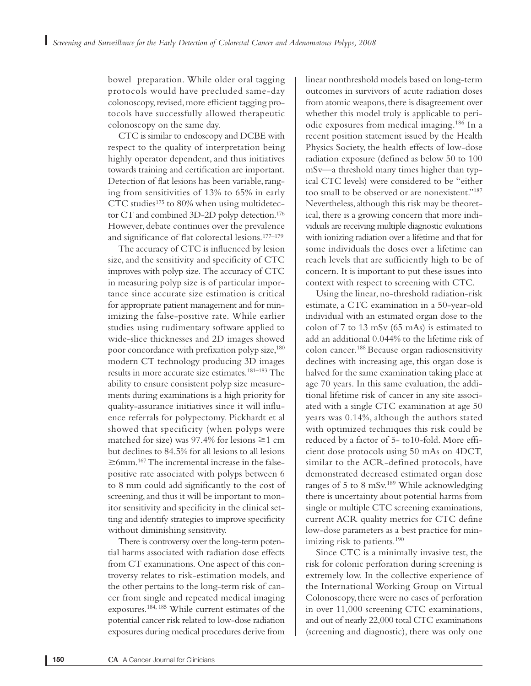bowel preparation. While older oral tagging protocols would have precluded same-day colonoscopy, revised, more efficient tagging protocols have successfully allowed therapeutic colonoscopy on the same day.

CTC is similar to endoscopy and DCBE with respect to the quality of interpretation being highly operator dependent, and thus initiatives towards training and certification are important. Detection of flat lesions has been variable, ranging from sensitivities of 13% to 65% in early CTC studies175 to 80% when using multidetector CT and combined 3D-2D polyp detection.176 However, debate continues over the prevalence and significance of flat colorectal lesions.177–179

The accuracy of CTC is influenced by lesion size, and the sensitivity and specificity of CTC improves with polyp size. The accuracy of CTC in measuring polyp size is of particular importance since accurate size estimation is critical for appropriate patient management and for minimizing the false-positive rate. While earlier studies using rudimentary software applied to wide-slice thicknesses and 2D images showed poor concordance with prefixation polyp size,<sup>180</sup> modern CT technology producing 3D images results in more accurate size estimates.<sup>181-183</sup> The ability to ensure consistent polyp size measurements during examinations is a high priority for quality-assurance initiatives since it will influence referrals for polypectomy. Pickhardt et al showed that specificity (when polyps were matched for size) was 97.4% for lesions  $\geq$ 1 cm but declines to 84.5% for all lesions to all lesions ≥6mm.<sup>167</sup> The incremental increase in the falsepositive rate associated with polyps between 6 to 8 mm could add significantly to the cost of screening, and thus it will be important to monitor sensitivity and specificity in the clinical setting and identify strategies to improve specificity without diminishing sensitivity.

There is controversy over the long-term potential harms associated with radiation dose effects from CT examinations. One aspect of this controversy relates to risk-estimation models, and the other pertains to the long-term risk of cancer from single and repeated medical imaging exposures.184, 185 While current estimates of the potential cancer risk related to low-dose radiation exposures during medical procedures derive from

linear nonthreshold models based on long-term outcomes in survivors of acute radiation doses from atomic weapons, there is disagreement over whether this model truly is applicable to periodic exposures from medical imaging.186 In a recent position statement issued by the Health Physics Society, the health effects of low-dose radiation exposure (defined as below 50 to 100 mSv—a threshold many times higher than typical CTC levels) were considered to be "either too small to be observed or are nonexistent."187 Nevertheless,although this risk may be theoretical, there is a growing concern that more individuals are receiving multiple diagnostic evaluations with ionizing radiation over a lifetime and that for some individuals the doses over a lifetime can reach levels that are sufficiently high to be of concern. It is important to put these issues into context with respect to screening with CTC.

Using the linear, no-threshold radiation-risk estimate, a CTC examination in a 50-year-old individual with an estimated organ dose to the colon of 7 to 13 mSv (65 mAs) is estimated to add an additional 0.044% to the lifetime risk of colon cancer.188 Because organ radiosensitivity declines with increasing age, this organ dose is halved for the same examination taking place at age 70 years. In this same evaluation, the additional lifetime risk of cancer in any site associated with a single CTC examination at age 50 years was 0.14%, although the authors stated with optimized techniques this risk could be reduced by a factor of 5- to10-fold. More efficient dose protocols using 50 mAs on 4DCT, similar to the ACR-defined protocols, have demonstrated decreased estimated organ dose ranges of 5 to 8 mSv.<sup>189</sup> While acknowledging there is uncertainty about potential harms from single or multiple CTC screening examinations, current ACR quality metrics for CTC define low-dose parameters as a best practice for minimizing risk to patients.<sup>190</sup>

Since CTC is a minimally invasive test, the risk for colonic perforation during screening is extremely low. In the collective experience of the International Working Group on Virtual Colonoscopy,there were no cases of perforation in over 11,000 screening CTC examinations, and out of nearly 22,000 total CTC examinations (screening and diagnostic), there was only one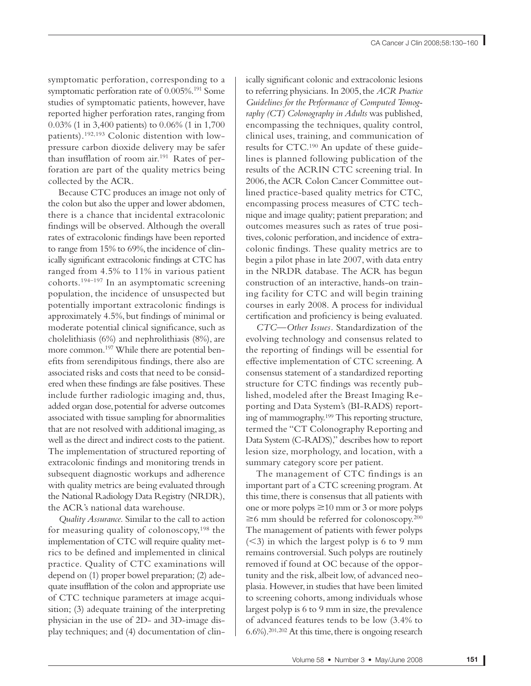symptomatic perforation, corresponding to a symptomatic perforation rate of 0.005%.191 Some studies of symptomatic patients, however, have reported higher perforation rates, ranging from 0.03% (1 in 3,400 patients) to 0.06% (1 in 1,700 patients).192,193 Colonic distention with lowpressure carbon dioxide delivery may be safer than insufflation of room air.191 Rates of perforation are part of the quality metrics being collected by the ACR.

Because CTC produces an image not only of the colon but also the upper and lower abdomen, there is a chance that incidental extracolonic findings will be observed. Although the overall rates of extracolonic findings have been reported to range from 15% to 69%, the incidence of clinically significant extracolonic findings at CTC has ranged from 4.5% to 11% in various patient cohorts.194–197 In an asymptomatic screening population, the incidence of unsuspected but potentially important extracolonic findings is approximately 4.5%, but findings of minimal or moderate potential clinical significance, such as cholelithiasis (6%) and nephrolithiasis (8%), are more common.<sup>197</sup> While there are potential benefits from serendipitous findings, there also are associated risks and costs that need to be considered when these findings are false positives. These include further radiologic imaging and, thus, added organ dose, potential for adverse outcomes associated with tissue sampling for abnormalities that are not resolved with additional imaging, as well as the direct and indirect costs to the patient. The implementation of structured reporting of extracolonic findings and monitoring trends in subsequent diagnostic workups and adherence with quality metrics are being evaluated through the National Radiology Data Registry (NRDR), the ACR's national data warehouse.

*Quality Assurance.* Similar to the call to action for measuring quality of colonoscopy,198 the implementation of CTC will require quality metrics to be defined and implemented in clinical practice. Quality of CTC examinations will depend on (1) proper bowel preparation; (2) adequate insufflation of the colon and appropriate use of CTC technique parameters at image acquisition; (3) adequate training of the interpreting physician in the use of 2D- and 3D-image display techniques; and (4) documentation of clin-

ically significant colonic and extracolonic lesions to referring physicians. In 2005, the *ACR Practice Guidelines for the Performance of Computed Tomography (CT) Colonography in Adults* was published, encompassing the techniques, quality control, clinical uses, training, and communication of results for CTC.190 An update of these guidelines is planned following publication of the results of the ACRIN CTC screening trial. In 2006,the ACR Colon Cancer Committee outlined practice-based quality metrics for CTC, encompassing process measures of CTC technique and image quality; patient preparation; and outcomes measures such as rates of true positives, colonic perforation, and incidence of extracolonic findings. These quality metrics are to begin a pilot phase in late 2007, with data entry in the NRDR database. The ACR has begun construction of an interactive, hands-on training facility for CTC and will begin training courses in early 2008. A process for individual certification and proficiency is being evaluated.

*CTC—Other Issues.* Standardization of the evolving technology and consensus related to the reporting of findings will be essential for effective implementation of CTC screening. A consensus statement of a standardized reporting structure for CTC findings was recently published, modeled after the Breast Imaging Reporting and Data System's (BI-RADS) reporting of mammography.199 This reporting structure, termed the "CT Colonography Reporting and Data System (C-RADS)," describes how to report lesion size, morphology, and location, with a summary category score per patient.

The management of CTC findings is an important part of a CTC screening program. At this time, there is consensus that all patients with one or more polyps  $\geq 10$  mm or 3 or more polyps  $\geq$ 6 mm should be referred for colonoscopy.<sup>200</sup> The management of patients with fewer polyps  $(<$ 3) in which the largest polyp is 6 to 9 mm remains controversial. Such polyps are routinely removed if found at OC because of the opportunity and the risk, albeit low, of advanced neoplasia. However, in studies that have been limited to screening cohorts, among individuals whose largest polyp is 6 to 9 mm in size, the prevalence of advanced features tends to be low (3.4% to 6.6%).<sup>201,202</sup> At this time, there is ongoing research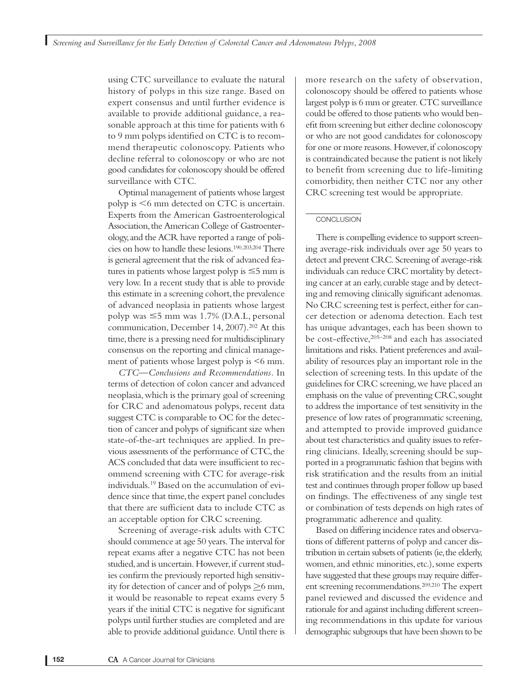using CTC surveillance to evaluate the natural history of polyps in this size range. Based on expert consensus and until further evidence is available to provide additional guidance, a reasonable approach at this time for patients with 6 to 9 mm polyps identified on CTC is to recommend therapeutic colonoscopy. Patients who decline referral to colonoscopy or who are not good candidates for colonoscopy should be offered surveillance with CTC.

Optimal management of patients whose largest polyp is  $\leq 6$  mm detected on CTC is uncertain. Experts from the American Gastroenterological Association, the American College of Gastroenterology,and the ACR have reported a range of policies on how to handle these lesions.190,203,204 There is general agreement that the risk of advanced features in patients whose largest polyp is  $\leq$ 5 mm is very low. In a recent study that is able to provide this estimate in a screening cohort, the prevalence of advanced neoplasia in patients whose largest polyp was  $\leq$ 5 mm was 1.7% (D.A.L, personal communication, December 14, 2007).<sup>202</sup> At this time, there is a pressing need for multidisciplinary consensus on the reporting and clinical management of patients whose largest polyp is <6 mm.

*CTC—Conclusions and Recommendations.* In terms of detection of colon cancer and advanced neoplasia,which is the primary goal of screening for CRC and adenomatous polyps, recent data suggest CTC is comparable to OC for the detection of cancer and polyps of significant size when state-of-the-art techniques are applied. In previous assessments of the performance of CTC, the ACS concluded that data were insufficient to recommend screening with CTC for average-risk individuals.19 Based on the accumulation of evidence since that time, the expert panel concludes that there are sufficient data to include CTC as an acceptable option for CRC screening.

Screening of average-risk adults with CTC should commence at age 50 years. The interval for repeat exams after a negative CTC has not been studied, and is uncertain. However, if current studies confirm the previously reported high sensitivity for detection of cancer and of polyps  $\geq 6$  mm, it would be reasonable to repeat exams every 5 years if the initial CTC is negative for significant polyps until further studies are completed and are able to provide additional guidance. Until there is more research on the safety of observation, colonoscopy should be offered to patients whose largest polyp is 6 mm or greater. CTC surveillance could be offered to those patients who would benefit from screening but either decline colonoscopy or who are not good candidates for colonoscopy for one or more reasons. However, if colonoscopy is contraindicated because the patient is not likely to benefit from screening due to life-limiting comorbidity, then neither CTC nor any other CRC screening test would be appropriate.

### **CONCLUSION**

There is compelling evidence to support screening average-risk individuals over age 50 years to detect and prevent CRC. Screening of average-risk individuals can reduce CRC mortality by detecting cancer at an early, curable stage and by detecting and removing clinically significant adenomas. No CRC screening test is perfect, either for cancer detection or adenoma detection. Each test has unique advantages, each has been shown to be cost-effective,<sup>205-208</sup> and each has associated limitations and risks. Patient preferences and availability of resources play an important role in the selection of screening tests. In this update of the guidelines for CRC screening,we have placed an emphasis on the value of preventing CRC, sought to address the importance of test sensitivity in the presence of low rates of programmatic screening, and attempted to provide improved guidance about test characteristics and quality issues to referring clinicians. Ideally, screening should be supported in a programmatic fashion that begins with risk stratification and the results from an initial test and continues through proper follow up based on findings. The effectiveness of any single test or combination of tests depends on high rates of programmatic adherence and quality.

Based on differing incidence rates and observations of different patterns of polyp and cancer distribution in certain subsets of patients (ie,the elderly, women, and ethnic minorities, etc.), some experts have suggested that these groups may require different screening recommendations.209,210 The expert panel reviewed and discussed the evidence and rationale for and against including different screening recommendations in this update for various demographic subgroups that have been shown to be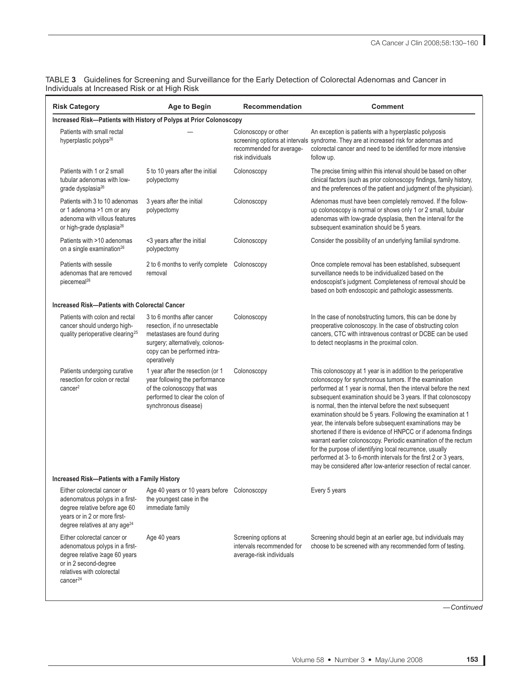| Age to Begin                                                                                                                                                                  | Recommendation                                                                | <b>Comment</b>                                                                                                                                                                                                                                                                                                                                                                                                                                                                                                                                                                                                                                                                                                                                                                                  |  |  |  |
|-------------------------------------------------------------------------------------------------------------------------------------------------------------------------------|-------------------------------------------------------------------------------|-------------------------------------------------------------------------------------------------------------------------------------------------------------------------------------------------------------------------------------------------------------------------------------------------------------------------------------------------------------------------------------------------------------------------------------------------------------------------------------------------------------------------------------------------------------------------------------------------------------------------------------------------------------------------------------------------------------------------------------------------------------------------------------------------|--|--|--|
| Increased Risk-Patients with History of Polyps at Prior Colonoscopy                                                                                                           |                                                                               |                                                                                                                                                                                                                                                                                                                                                                                                                                                                                                                                                                                                                                                                                                                                                                                                 |  |  |  |
|                                                                                                                                                                               | Colonoscopy or other<br>recommended for average-<br>risk individuals          | An exception is patients with a hyperplastic polyposis<br>screening options at intervals syndrome. They are at increased risk for adenomas and<br>colorectal cancer and need to be identified for more intensive<br>follow up.                                                                                                                                                                                                                                                                                                                                                                                                                                                                                                                                                                  |  |  |  |
| 5 to 10 years after the initial<br>polypectomy                                                                                                                                | Colonoscopy                                                                   | The precise timing within this interval should be based on other<br>clinical factors (such as prior colonoscopy findings, family history,<br>and the preferences of the patient and judgment of the physician).                                                                                                                                                                                                                                                                                                                                                                                                                                                                                                                                                                                 |  |  |  |
| 3 years after the initial<br>polypectomy                                                                                                                                      | Colonoscopy                                                                   | Adenomas must have been completely removed. If the follow-<br>up colonoscopy is normal or shows only 1 or 2 small, tubular<br>adenomas with low-grade dysplasia, then the interval for the<br>subsequent examination should be 5 years.                                                                                                                                                                                                                                                                                                                                                                                                                                                                                                                                                         |  |  |  |
| <3 years after the initial<br>polypectomy                                                                                                                                     | Colonoscopy                                                                   | Consider the possibility of an underlying familial syndrome.                                                                                                                                                                                                                                                                                                                                                                                                                                                                                                                                                                                                                                                                                                                                    |  |  |  |
| 2 to 6 months to verify complete<br>removal                                                                                                                                   | Colonoscopy                                                                   | Once complete removal has been established, subsequent<br>surveillance needs to be individualized based on the<br>endoscopist's judgment. Completeness of removal should be<br>based on both endoscopic and pathologic assessments.                                                                                                                                                                                                                                                                                                                                                                                                                                                                                                                                                             |  |  |  |
| <b>Increased Risk-Patients with Colorectal Cancer</b>                                                                                                                         |                                                                               |                                                                                                                                                                                                                                                                                                                                                                                                                                                                                                                                                                                                                                                                                                                                                                                                 |  |  |  |
| 3 to 6 months after cancer<br>resection, if no unresectable<br>metastases are found during<br>surgery; alternatively, colonos-<br>copy can be performed intra-<br>operatively | Colonoscopy                                                                   | In the case of nonobstructing tumors, this can be done by<br>preoperative colonoscopy. In the case of obstructing colon<br>cancers. CTC with intravenous contrast or DCBE can be used<br>to detect neoplasms in the proximal colon.                                                                                                                                                                                                                                                                                                                                                                                                                                                                                                                                                             |  |  |  |
| 1 year after the resection (or 1<br>year following the performance<br>of the colonoscopy that was<br>performed to clear the colon of<br>synchronous disease)                  | Colonoscopy                                                                   | This colonoscopy at 1 year is in addition to the perioperative<br>colonoscopy for synchronous tumors. If the examination<br>performed at 1 year is normal, then the interval before the next<br>subsequent examination should be 3 years. If that colonoscopy<br>is normal, then the interval before the next subsequent<br>examination should be 5 years. Following the examination at 1<br>year, the intervals before subsequent examinations may be<br>shortened if there is evidence of HNPCC or if adenoma findings<br>warrant earlier colonoscopy. Periodic examination of the rectum<br>for the purpose of identifying local recurrence, usually<br>performed at 3- to 6-month intervals for the first 2 or 3 years,<br>may be considered after low-anterior resection of rectal cancer. |  |  |  |
| Increased Risk-Patients with a Family History                                                                                                                                 |                                                                               |                                                                                                                                                                                                                                                                                                                                                                                                                                                                                                                                                                                                                                                                                                                                                                                                 |  |  |  |
| the youngest case in the<br>immediate family                                                                                                                                  |                                                                               | Every 5 years                                                                                                                                                                                                                                                                                                                                                                                                                                                                                                                                                                                                                                                                                                                                                                                   |  |  |  |
| Age 40 years                                                                                                                                                                  | Screening options at<br>intervals recommended for<br>average-risk individuals | Screening should begin at an earlier age, but individuals may<br>choose to be screened with any recommended form of testing.                                                                                                                                                                                                                                                                                                                                                                                                                                                                                                                                                                                                                                                                    |  |  |  |
|                                                                                                                                                                               |                                                                               | Age 40 years or 10 years before Colonoscopy                                                                                                                                                                                                                                                                                                                                                                                                                                                                                                                                                                                                                                                                                                                                                     |  |  |  |

TABLE **3** Guidelines for Screening and Surveillance for the Early Detection of Colorectal Adenomas and Cancer in Individuals at Increased Risk or at High Risk

*—Continued*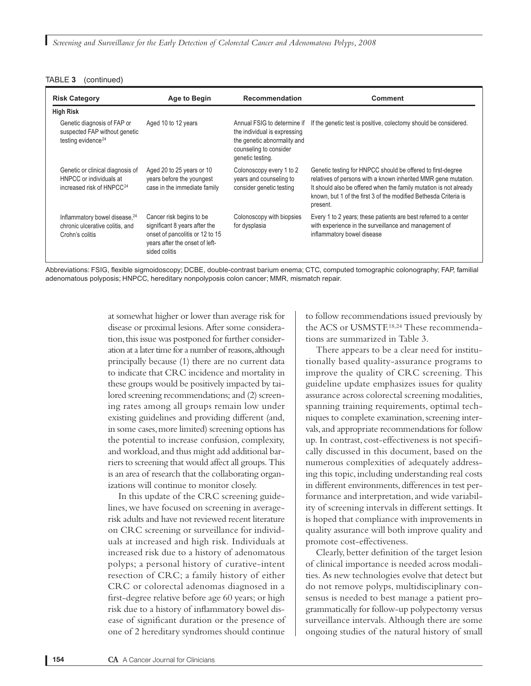| <b>TABLE 3</b> | (continued) |
|----------------|-------------|
|----------------|-------------|

| <b>Risk Category</b>                                                                                        | Age to Begin                                                                                                                                    | Recommendation                                                                                                                           | Comment                                                                                                                                                                                                                                                                            |
|-------------------------------------------------------------------------------------------------------------|-------------------------------------------------------------------------------------------------------------------------------------------------|------------------------------------------------------------------------------------------------------------------------------------------|------------------------------------------------------------------------------------------------------------------------------------------------------------------------------------------------------------------------------------------------------------------------------------|
| <b>High Risk</b>                                                                                            |                                                                                                                                                 |                                                                                                                                          |                                                                                                                                                                                                                                                                                    |
| Genetic diagnosis of FAP or<br>suspected FAP without genetic<br>testing evidence <sup>24</sup>              | Aged 10 to 12 years                                                                                                                             | Annual FSIG to determine if<br>the individual is expressing<br>the genetic abnormality and<br>counseling to consider<br>genetic testing. | If the genetic test is positive, colectomy should be considered.                                                                                                                                                                                                                   |
| Genetic or clinical diagnosis of<br><b>HNPCC</b> or individuals at<br>increased risk of HNPCC <sup>24</sup> | Aged 20 to 25 years or 10<br>years before the youngest<br>case in the immediate family                                                          | Colonoscopy every 1 to 2<br>years and counseling to<br>consider genetic testing                                                          | Genetic testing for HNPCC should be offered to first-degree<br>relatives of persons with a known inherited MMR gene mutation.<br>It should also be offered when the family mutation is not already<br>known, but 1 of the first 3 of the modified Bethesda Criteria is<br>present. |
| Inflammatory bowel disease. <sup>24</sup><br>chronic ulcerative colitis, and<br>Crohn's colitis             | Cancer risk begins to be<br>significant 8 years after the<br>onset of pancolitis or 12 to 15<br>years after the onset of left-<br>sided colitis | Colonoscopy with biopsies<br>for dysplasia                                                                                               | Every 1 to 2 years; these patients are best referred to a center<br>with experience in the surveillance and management of<br>inflammatory bowel disease                                                                                                                            |

Abbreviations: FSIG, flexible sigmoidoscopy; DCBE, double-contrast barium enema; CTC, computed tomographic colonography; FAP, familial adenomatous polyposis; HNPCC, hereditary nonpolyposis colon cancer; MMR, mismatch repair.

> at somewhat higher or lower than average risk for disease or proximal lesions. After some consideration, this issue was postponed for further consideration at a later time for a number of reasons, although principally because (1) there are no current data to indicate that CRC incidence and mortality in these groups would be positively impacted by tailored screening recommendations; and (2) screening rates among all groups remain low under existing guidelines and providing different (and, in some cases,more limited) screening options has the potential to increase confusion, complexity, and workload,and thus might add additional barriers to screening that would affect all groups. This is an area of research that the collaborating organizations will continue to monitor closely.

> In this update of the CRC screening guidelines, we have focused on screening in averagerisk adults and have not reviewed recent literature on CRC screening or surveillance for individuals at increased and high risk. Individuals at increased risk due to a history of adenomatous polyps; a personal history of curative-intent resection of CRC; a family history of either CRC or colorectal adenomas diagnosed in a first-degree relative before age 60 years; or high risk due to a history of inflammatory bowel disease of significant duration or the presence of one of 2 hereditary syndromes should continue

to follow recommendations issued previously by the ACS or USMSTF.18,24 These recommendations are summarized in Table 3.

There appears to be a clear need for institutionally based quality-assurance programs to improve the quality of CRC screening. This guideline update emphasizes issues for quality assurance across colorectal screening modalities, spanning training requirements, optimal techniques to complete examination, screening intervals, and appropriate recommendations for follow up. In contrast, cost-effectiveness is not specifically discussed in this document, based on the numerous complexities of adequately addressing this topic, including understanding real costs in different environments, differences in test performance and interpretation, and wide variability of screening intervals in different settings. It is hoped that compliance with improvements in quality assurance will both improve quality and promote cost-effectiveness.

Clearly, better definition of the target lesion of clinical importance is needed across modalities. As new technologies evolve that detect but do not remove polyps, multidisciplinary consensus is needed to best manage a patient programmatically for follow-up polypectomy versus surveillance intervals. Although there are some ongoing studies of the natural history of small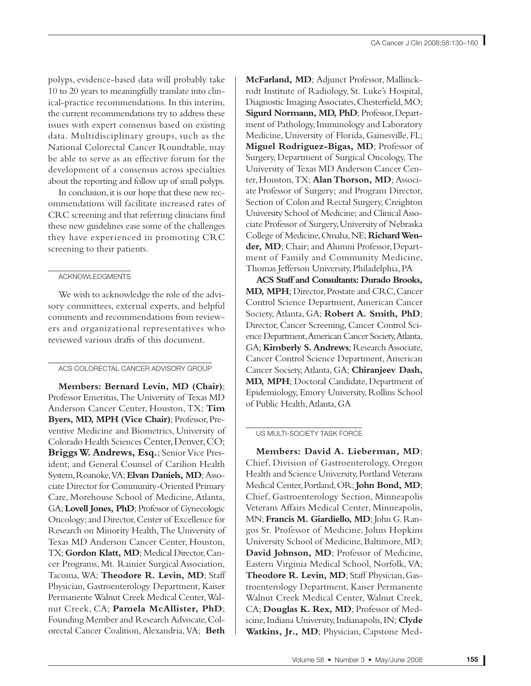polyps, evidence-based data will probably take 10 to 20 years to meaningfully translate into clinical-practice recommendations. In this interim, the current recommendations try to address these issues with expert consensus based on existing data. Multidisciplinary groups, such as the National Colorectal Cancer Roundtable, may be able to serve as an effective forum for the development of a consensus across specialties about the reporting and follow up of small polyps.

In conclusion, it is our hope that these new recommendations will facilitate increased rates of CRC screening and that referring clinicians find these new guidelines ease some of the challenges they have experienced in promoting CRC screening to their patients.

### ACKNOWLEDGMENTS

We wish to acknowledge the role of the advisory committees, external experts, and helpful comments and recommendations from reviewers and organizational representatives who reviewed various drafts of this document.

### ACS COLORECTAL CANCER ADVISORY GROUP

**Members: Bernard Levin, MD (Chair)**; Professor Emeritus,The University of Texas MD Anderson Cancer Center, Houston, TX; **Tim** Byers, MD, MPH (Vice Chair); Professor, Preventive Medicine and Biometrics, University of Colorado Health Sciences Center, Denver, CO; **Briggs W. Andrews, Esq.**; Senior Vice President; and General Counsel of Carilion Health System,Roanoke,VA; **Elvan Daniels, MD**; Associate Director for Community-Oriented Primary Care, Morehouse School of Medicine, Atlanta, GA; **Lovell Jones, PhD**; Professor of Gynecologic Oncology;and Director,Center of Excellence for Research on Minority Health,The University of Texas MD Anderson Cancer Center, Houston, TX; Gordon Klatt, MD; Medical Director, Cancer Programs, Mt. Rainier Surgical Association, Tacoma, WA; **Theodore R. Levin, MD**; Staff Physician, Gastroenterology Department, Kaiser Permanente Walnut Creek Medical Center,Walnut Creek, CA; **Pamela McAllister, PhD**; Founding Member and Research Advocate, Colorectal Cancer Coalition, Alexandria, VA; **Beth**

**McFarland, MD**; Adjunct Professor, Mallinckrodt Institute of Radiology, St. Luke's Hospital, Diagnostic Imaging Associates,Chesterfield,MO; **Sigurd Normann, MD, PhD**; Professor,Department of Pathology,Immunology and Laboratory Medicine, University of Florida, Gainesville, FL; **Miguel Rodriguez-Bigas, MD**; Professor of Surgery, Department of Surgical Oncology, The University of Texas MD Anderson Cancer Center, Houston, TX; Alan Thorson, MD; Associate Professor of Surgery; and Program Director, Section of Colon and Rectal Surgery, Creighton University School of Medicine; and Clinical Associate Professor of Surgery,Universityof Nebraska College of Medicine,Omaha,NE; **Richard Wen**der, MD; Chair; and Alumni Professor, Department of Family and Community Medicine, Thomas Jefferson University, Philadelphia, PA

**ACS Staff and Consultants: Durado Brooks, MD, MPH**; Director, Prostate and CRC, Cancer Control Science Department, American Cancer Society, Atlanta, GA; **Robert A. Smith, PhD**; Director, Cancer Screening, Cancer Control Science Department,American Cancer Society,Atlanta, GA; **Kimberly S. Andrews**; Research Associate, Cancer Control Science Department, American Cancer Society, Atlanta, GA; **Chiranjeev Dash, MD, MPH**; Doctoral Candidate, Department of Epidemiology, Emory University, Rollins School of Public Health,Atlanta,GA

### US MULTI-SOCIETY TASK FORCE

**Members: David A. Lieberman, MD**; Chief, Division of Gastroenterology, Oregon Health and Science University, Portland Veterans Medical Center, Portland, OR; **John Bond, MD**; Chief, Gastroenterology Section, Minneapolis Veterans Affairs Medical Center, Minneapolis, MN; **Francis M. Giardiello, MD**; John G. Rangos Sr. Professor of Medicine, Johns Hopkins University School of Medicine, Baltimore, MD; **David Johnson, MD**; Professor of Medicine, Eastern Virginia Medical School, Norfolk, VA; Theodore R. Levin, MD; Staff Physician, Gastroenterology Department, Kaiser Permanente Walnut Creek Medical Center, Walnut Creek, CA; **Douglas K. Rex, MD**; Professor of Medicine, Indiana University, Indianapolis, IN; Clyde **Watkins, Jr., MD**; Physician, Capstone Med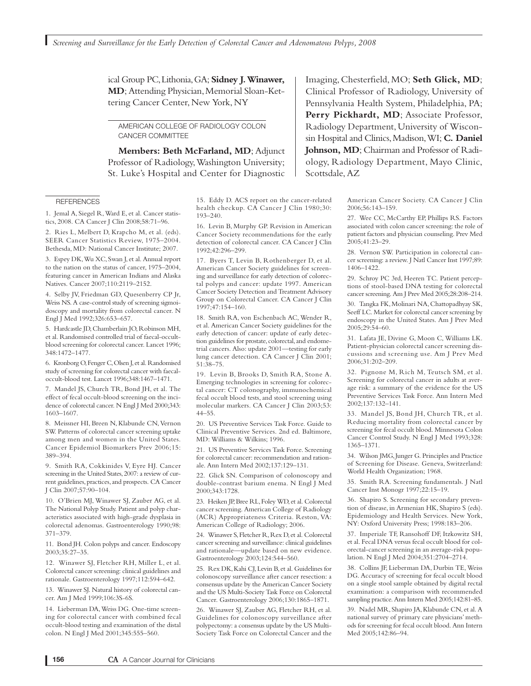ical Group PC,Lithonia,GA; **Sidney J. Winawer, MD**; Attending Physician, Memorial Sloan-Kettering Cancer Center, New York, NY

AMERICAN COLLEGE OF RADIOLOGY COLON CANCER COMMITTEE

**Members: Beth McFarland, MD**; Adjunct Professor of Radiology,Washington University; St. Luke's Hospital and Center for Diagnostic

#### **REFERENCES**

1. Jemal A, Siegel R, Ward E, et al. Cancer statistics, 2008. CA Cancer J Clin 2008;58:71–96.

2. Ries L, Melbert D, Krapcho M, et al. (eds). SEER Cancer Statistics Review, 1975–2004. Bethesda, MD: National Cancer Institute; 2007.

3. Espey DK,Wu XC,Swan J,et al. Annual report to the nation on the status of cancer, 1975–2004, featuring cancer in American Indians and Alaska Natives. Cancer 2007;110:2119–2152.

4. Selby JV, Friedman GD, Quesenberry CP Jr, Weiss NS. A case-control study of screening sigmoidoscopy and mortality from colorectal cancer. N Engl J Med 1992;326:653–657.

5. Hardcastle JD,Chamberlain JO,Robinson MH, et al. Randomised controlled trial of faecal-occultblood screening for colorectal cancer. Lancet 1996; 348:1472–1477.

6. Kronborg O,Fenger C,Olsen J,et al. Randomised study of screening for colorectal cancer with faecaloccult-blood test. Lancet 1996;348:1467–1471.

7. Mandel JS, Church TR, Bond JH, et al. The effect of fecal occult-blood screening on the incidence of colorectal cancer. N Engl J Med 2000;343: 1603–1607.

8. Meissner HI, Breen N, Klabunde CN, Vernon SW. Patterns of colorectal cancer screening uptake among men and women in the United States. Cancer Epidemiol Biomarkers Prev 2006;15: 389–394.

9. Smith RA, Cokkinides V, Eyre HJ. Cancer screening in the United States,2007: a review of current guidelines, practices, and prospects. CA Cancer J Clin 2007;57:90–104.

10. O'Brien MJ, Winawer SJ, Zauber AG, et al. The National Polyp Study. Patient and polyp characteristics associated with high-grade dysplasia in colorectal adenomas. Gastroenterology 1990;98: 371–379.

11. Bond JH. Colon polyps and cancer. Endoscopy 2003;35:27–35.

12. Winawer SJ, Fletcher RH, Miller L, et al. Colorectal cancer screening: clinical guidelines and rationale. Gastroenterology 1997;112:594–642.

13. Winawer SJ. Natural history of colorectal cancer. Am J Med 1999;106:3S-6S.

14. Lieberman DA,Weiss DG. One-time screening for colorectal cancer with combined fecal occult-blood testing and examination of the distal colon. N Engl J Med 2001;345:555–560.

15. Eddy D. ACS report on the cancer-related health checkup. CA Cancer J Clin 1980;30: 193–240.

16. Levin B, Murphy GP. Revision in American Cancer Society recommendations for the early detection of colorectal cancer. CA Cancer J Clin 1992;42:296–299.

17. Byers T, Levin B, Rothenberger D, et al. American Cancer Society guidelines for screening and surveillance for early detection of colorectal polyps and cancer: update 1997. American Cancer Society Detection and Treatment Advisory Group on Colorectal Cancer. CA Cancer J Clin 1997;47:154–160.

18. Smith RA, von Eschenbach AC, Wender R, et al. American Cancer Society guidelines for the early detection of cancer: update of early detection guidelines for prostate, colorectal, and endometrial cancers. Also: update 2001—testing for early lung cancer detection. CA Cancer J Clin 2001; 51:38–75.

19. Levin B, Brooks D, Smith RA, Stone A. Emerging technologies in screening for colorectal cancer: CT colonography, immunochemical fecal occult blood tests, and stool screening using molecular markers. CA Cancer J Clin 2003;53: 44–55.

20. US Preventive Services Task Force. Guide to Clinical Preventive Services. 2nd ed. Baltimore, MD: Williams & Wilkins; 1996.

21. US Preventive Services Task Force. Screening for colorectal cancer: recommendation and rationale. Ann Intern Med 2002;137:129–131.

22. Glick SN. Comparison of colonoscopy and double-contrast barium enema. N Engl J Med 2000;343:1728.

23. Heiken JP, Bree RL, Foley WD, et al. Colorectal cancer screening. American College of Radiology (ACR) Appropriateness Criteria. Reston, VA: American College of Radiology; 2006.

24. Winawer S,Fletcher R,Rex D,et al. Colorectal cancer screening and surveillance: clinical guidelines and rationale—update based on new evidence. Gastroenterology 2003;124:544–560.

25. Rex DK, Kahi CJ, Levin B, et al. Guidelines for colonoscopy surveillance after cancer resection: a consensus update by the American Cancer Society and the US Multi-Society Task Force on Colorectal Cancer. Gastroenterology 2006;130:1865–1871.

26. Winawer SJ, Zauber AG, Fletcher RH, et al. Guidelines for colonoscopy surveillance after polypectomy: a consensus update by the US Multi-Society Task Force on Colorectal Cancer and the

Imaging, Chesterfield, MO; **Seth Glick, MD**; Clinical Professor of Radiology, University of Pennsylvania Health System, Philadelphia, PA; Perry Pickhardt, MD; Associate Professor, Radiology Department, University of Wisconsin Hospital and Clinics, Madison, WI; C. Daniel **Johnson, MD**; Chairman and Professor of Radiology, Radiology Department, Mayo Clinic, Scottsdale, AZ

> American Cancer Society. CA Cancer J Clin 2006;56:143–159.

> 27. Wee CC, McCarthy EP, Phillips RS. Factors associated with colon cancer screening: the role of patient factors and physician counseling. Prev Med 2005;41:23–29.

> 28. Vernon SW. Participation in colorectal cancer screening: a review. J Natl Cancer Inst 1997;89: 1406–1422.

> 29. Schroy PC 3rd, Heeren TC. Patient perceptions of stool-based DNA testing for colorectal cancer screening. Am J Prev Med 2005;28:208–214.

> 30. Tangka FK, Molinari NA, Chattopadhyay SK, Seeff LC. Market for colorectal cancer screening by endoscopy in the United States. Am J Prev Med 2005;29:54–60.

> 31. Lafata JE, Divine G, Moon C, Williams LK. Patient-physician colorectal cancer screening discussions and screening use. Am J Prev Med 2006;31:202–209.

> 32. Pignone M, Rich M, Teutsch SM, et al. Screening for colorectal cancer in adults at average risk: a summary of the evidence for the US Preventive Services Task Force. Ann Intern Med 2002;137:132–141.

> 33. Mandel JS, Bond JH, Church TR, et al. Reducing mortality from colorectal cancer by screening for fecal occult blood. Minnesota Colon Cancer Control Study. N Engl J Med 1993;328: 1365–1371.

> 34. Wilson JMG,Junger G. Principles and Practice of Screening for Disease. Geneva, Switzerland: World Health Organization; 1968.

> 35. Smith RA. Screening fundamentals. J Natl Cancer Inst Monogr 1997;22:15–19.

> 36. Shapiro S. Screening for secondary prevention of disease, in Armenian HK, Shapiro S (eds). Epidemiology and Health Services. New York, NY: Oxford University Press; 1998:183–206.

> 37. Imperiale TF, Ransohoff DF, Itzkowitz SH, et al. Fecal DNA versus fecal occult blood for colorectal-cancer screening in an average-risk population. N Engl J Med 2004;351:2704–2714.

> 38. Collins JF, Lieberman DA, Durbin TE, Weiss DG. Accuracy of screening for fecal occult blood on a single stool sample obtained by digital rectal examination: a comparison with recommended sampling practice. Ann Intern Med 2005;142:81–85.

> 39. Nadel MR, Shapiro JA, Klabunde CN, et al. A national survey of primary care physicians' methods for screening for fecal occult blood. Ann Intern Med 2005;142:86–94.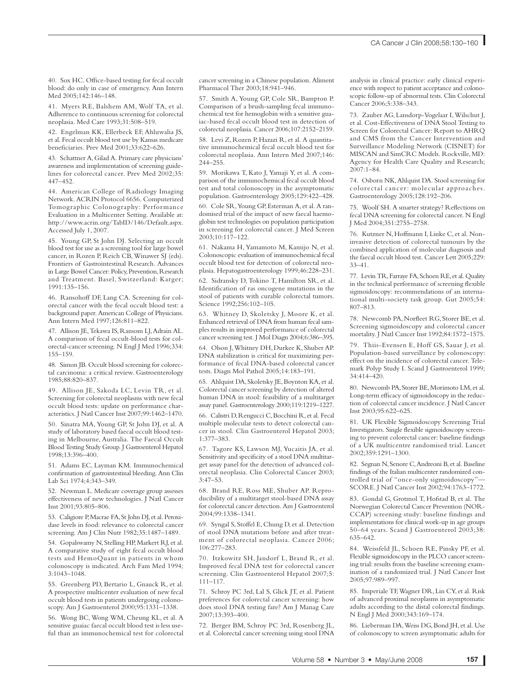40. Sox HC. Office-based testing for fecal occult blood: do only in case of emergency. Ann Intern Med 2005;142:146–148.

41. Myers RE, Balshem AM, Wolf TA, et al. Adherence to continuous screening for colorectal neoplasia. Med Care 1993;31:508–519.

42. Engelman KK, Ellerbeck EF, Ahluwalia JS, et al. Fecal occult blood test use by Kansas medicare beneficiaries. Prev Med 2001;33:622–626.

43. Schattner A,Gilad A. Primary care physicians' awareness and implementation of screening guidelines for colorectal cancer. Prev Med 2002;35: 447–452.

44. American College of Radiology Imaging Network. ACRIN Protocol 6656. Computerized Tomographic Colonography: Performance Evaluation in a Multicenter Setting. Available at: http://www.acrin.org/TabID/146/Default.aspx. Accessed July 1, 2007.

45. Young GP, St John DJ. Selecting an occult blood test for use as a screening tool for large bowel cancer, in Rozen P, Reich CB, Winawer SJ (eds). Frontiers of Gastrointestinal Research. Advances in Large Bowel Cancer: Policy, Prevention, Research and Treatment. Basel, Switzerland: Karger; 1991:135–156.

46. Ransohoff DF, Lang CA. Screening for colorectal cancer with the fecal occult blood test: a background paper. American College of Physicians. Ann Intern Med 1997;126:811–822.

47. Allison JE, Tekawa IS, Ransom LJ, Adrain AL. A comparison of fecal occult-blood tests for colorectal-cancer screening. N Engl J Med 1996;334: 155–159.

48. Simon JB. Occult blood screening for colorectal carcinoma: a critical review. Gastroenterology 1985;88:820–837.

49. Allison JE, Sakoda LC, Levin TR, et al. Screening for colorectal neoplasms with new fecal occult blood tests: update on performance characteristics. J Natl Cancer Inst 2007;99:1462–1470.

50. Sinatra MA, Young GP, St John DJ, et al. A study of laboratory based faecal occult blood testing in Melbourne, Australia. The Faecal Occult Blood Testing Study Group. J Gastroenterol Hepatol 1998;13:396–400.

51. Adams EC, Layman KM. Immunochemical confirmation of gastrointestinal bleeding. Ann Clin Lab Sci 1974;4:343–349.

52. Newman L. Medicare coverage group assesses effectiveness of new technologies. J Natl Cancer Inst 2001;93:805–806.

53. Caligiore P,Macrae FA,St John DJ,et al. Peroxidase levels in food: relevance to colorectal cancer screening. Am J Clin Nutr 1982;35:1487–1489.

54. Gopalswamy N, Stelling HP, Markert RJ, et al. A comparative study of eight fecal occult blood tests and HemoQuant in patients in whom colonoscopy is indicated. Arch Fam Med 1994; 3:1043–1048.

55. Greenberg PD, Bertario L, Gnauck R, et al. A prospective multicenter evaluation of new fecal occult blood tests in patients undergoing colonoscopy. Am J Gastroenterol 2000;95:1331–1338.

56. Wong BC, Wong WM, Cheung KL, et al. A sensitive guaiac faecal occult blood test is less useful than an immunochemical test for colorectal cancer screening in a Chinese population. Aliment Pharmacol Ther 2003;18:941–946.

57. Smith A, Young GP, Cole SR, Bampton P. Comparison of a brush-sampling fecal immunochemical test for hemoglobin with a sensitive guaiac-based fecal occult blood test in detection of colorectal neoplasia. Cancer 2006;107:2152–2159.

58. Levi Z, Rozen P, Hazazi R, et al. A quantitative immunochemical fecal occult blood test for colorectal neoplasia. Ann Intern Med 2007;146: 244–255.

59. Morikawa T, Kato J, Yamaji Y, et al. A comparison of the immunochemical fecal occult blood test and total colonoscopy in the asymptomatic population. Gastroenterology 2005;129:422–428.

60. Cole SR,Young GP,Esterman A,et al. A randomised trial of the impact of new faecal haemoglobin test technologies on population participation in screening for colorectal cancer. J Med Screen 2003;10:117–122.

61. Nakama H, Yamamoto M, Kamijo N, et al. Colonoscopic evaluation of immunochemical fecal occult blood test for detection of colorectal neoplasia. Hepatogastroenterology 1999;46:228–231.

62. Sidransky D, Tokino T, Hamilton SR, et al. Identification of ras oncogene mutations in the stool of patients with curable colorectal tumors. Science 1992;256:102–105.

63. Whitney D, Skoletsky J, Moore K, et al. Enhanced retrieval of DNA from human fecal samples results in improved performance of colorectal cancer screening test. J Mol Diagn 2004;6:386–395.

64. Olson J,Whitney DH, Durkee K, Shuber AP. DNA stabilization is critical for maximizing performance of fecal DNA-based colorectal cancer tests. Diagn Mol Pathol 2005;14:183–191.

65. Ahlquist DA,Skoletsky JE,Boynton KA,et al. Colorectal cancer screening by detection of altered human DNA in stool: feasibility of a multitarget assay panel. Gastroenterology 2000;119:1219–1227.

66. Calistri D,Rengucci C,Bocchini R,et al. Fecal multiple molecular tests to detect colorectal cancer in stool. Clin Gastroenterol Hepatol 2003; 1:377–383.

67. Tagore KS, Lawson MJ, Yucaitis JA, et al. Sensitivity and specificity of a stool DNA multitarget assay panel for the detection of advanced colorectal neoplasia. Clin Colorectal Cancer 2003; 3:47–53.

68. Brand RE, Ross ME, Shuber AP. Reproducibility of a multitarget stool-based DNA assay for colorectal cancer detection. Am J Gastroenterol 2004;99:1338–1341.

69. Syngal S, Stoffel E, Chung D, et al. Detection of stool DNA mutations before and after treatment of colorectal neoplasia. Cancer 2006; 106:277–283.

70. Itzkowitz SH, Jandorf L, Brand R, et al. Improved fecal DNA test for colorectal cancer screening. Clin Gastroenterol Hepatol 2007;5: 111–117.

71. Schroy PC 3rd, Lal S, Glick JT, et al. Patient preferences for colorectal cancer screening: how does stool DNA testing fare? Am J Manag Care 2007;13:393–400.

72. Berger BM, Schroy PC 3rd, Rosenberg JL, et al. Colorectal cancer screening using stool DNA analysis in clinical practice: early clinical experience with respect to patient acceptance and colonoscopic follow-up of abnormal tests. Clin Colorectal Cancer 2006;5:338–343.

73. Zauber AG, Lansdorp-Vogelaar I, Wilschut J, et al. Cost-Effectiveness of DNA Stool Testing to Screen for Colorectal Cancer: Report to AHRQ and CMS from the Cancer Intervention and Surveillance Modeling Network (CISNET) for MISCAN and SimCRC Models. Rockville, MD: Agency for Health Care Quality and Research; 2007:1–84.

74. Osborn NK,Ahlquist DA. Stool screening for colorectal cancer: molecular approaches. Gastroenterology 2005;128:192–206.

75. Woolf SH. A smarter strategy? Reflections on fecal DNA screening for colorectal cancer. N Engl J Med 2004;351:2755–2758.

76. Kutzner N, Hoffmann I, Linke C, et al. Noninvasive detection of colorectal tumours by the combined application of molecular diagnosis and the faecal occult blood test. Cancer Lett 2005;229: 33–41.

77. Levin TR, Farraye FA, Schoen RE, et al. Quality in the technical performance of screening flexible sigmoidoscopy: recommendations of an international multi-society task group. Gut 2005;54: 807–813.

78. Newcomb PA, Norfleet RG, Storer BE, et al. Screening sigmoidoscopy and colorectal cancer mortality. J Natl Cancer Inst 1992;84:1572–1575.

79. Thiis-Evensen E, Hoff GS, Sauar J, et al. Population-based surveillance by colonoscopy: effect on the incidence of colorectal cancer. Telemark Polyp Study I. Scand J Gastroenterol 1999; 34:414–420.

80. Newcomb PA, Storer BE, Morimoto LM, et al. Long-term efficacy of sigmoidoscopy in the reduction of colorectal cancer incidence. J Natl Cancer Inst 2003;95:622–625.

81. UK Flexible Sigmoidoscopy Screening Trial Investigators. Single flexible sigmoidoscopy screening to prevent colorectal cancer: baseline findings of a UK multicentre randomised trial. Lancet 2002;359:1291–1300.

82. Segnan N, Senore C, Andreoni B, et al. Baseline findings of the Italian multicenter randomized controlled trial of "once-only sigmoidoscopy"— SCORE. J Natl Cancer Inst 2002;94:1763–1772.

83. Gondal G, Grotmol T, Hofstad B, et al. The Norwegian Colorectal Cancer Prevention (NOR-CCAP) screening study: baseline findings and implementations for clinical work-up in age groups 50–64 years. Scand J Gastroenterol 2003;38: 635–642.

84. Weissfeld JL, Schoen RE, Pinsky PF, et al. Flexible sigmoidoscopy in the PLCO cancer screening trial: results from the baseline screening examination of a randomized trial. J Natl Cancer Inst 2005;97:989–997.

85. Imperiale TF,Wagner DR,Lin CY,et al. Risk of advanced proximal neoplasms in asymptomatic adults according to the distal colorectal findings. N Engl J Med 2000;343:169–174.

86. Lieberman DA, Weiss DG, Bond JH, et al. Use of colonoscopy to screen asymptomatic adults for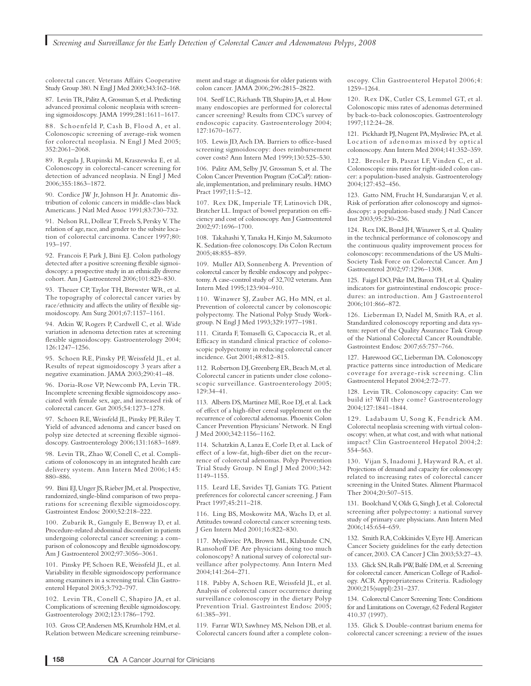colorectal cancer. Veterans Affairs Cooperative Study Group 380. N Engl J Med 2000;343:162–168.

87. Levin TR,Palitz A,Grossman S,et al. Predicting advanced proximal colonic neoplasia with screening sigmoidoscopy. JAMA 1999;281:1611–1617.

88. Schoenfeld P, Cash B, Flood A, et al. Colonoscopic screening of average-risk women for colorectal neoplasia. N Engl J Med 2005; 352:2061–2068.

89. Regula J, Rupinski M, Kraszewska E, et al. Colonoscopy in colorectal-cancer screening for detection of advanced neoplasia. N Engl J Med 2006;355:1863–1872.

90. Cordice JW Jr, Johnson H Jr. Anatomic distribution of colonic cancers in middle-class black Americans. J Natl Med Assoc 1991;83:730–732.

91. Nelson RL, Dollear T, Freels S, Persky V. The relation of age, race, and gender to the subsite location of colorectal carcinoma. Cancer 1997;80: 193–197.

92. Francois F, Park J, Bini EJ. Colon pathology detected after a positive screening flexible sigmoidoscopy: a prospective study in an ethnically diverse cohort. Am J Gastroenterol 2006;101:823–830.

93. Theuer CP, Taylor TH, Brewster WR, et al. The topography of colorectal cancer varies by race/ethnicity and affects the utility of flexible sigmoidoscopy. Am Surg 2001;67:1157–1161.

94. Atkin W, Rogers P, Cardwell C, et al. Wide variation in adenoma detection rates at screening flexible sigmoidoscopy. Gastroenterology 2004; 126:1247–1256.

95. Schoen RE, Pinsky PF, Weissfeld JL, et al. Results of repeat sigmoidoscopy 3 years after a negative examination. JAMA 2003;290:41–48.

96. Doria-Rose VP, Newcomb PA, Levin TR. Incomplete screening flexible sigmoidoscopy associated with female sex, age, and increased risk of colorectal cancer. Gut 2005;54:1273–1278.

97. Schoen RE, Weissfeld JL, Pinsky PF, Riley T. Yield of advanced adenoma and cancer based on polyp size detected at screening flexible sigmoidoscopy. Gastroenterology 2006;131:1683–1689.

98. Levin TR, Zhao W, Conell C, et al. Complications of colonoscopy in an integrated health care delivery system. Ann Intern Med 2006;145: 880–886.

99. Bini EJ, Unger JS, Rieber JM, et al. Prospective, randomized, single-blind comparison of two preparations for screening flexible sigmoidoscopy. Gastrointest Endosc 2000;52:218–222.

100. Zubarik R, Ganguly E, Benway D, et al. Procedure-related abdominal discomfort in patients undergoing colorectal cancer screening: a comparison of colonoscopy and flexible sigmoidoscopy. Am J Gastroenterol 2002;97:3056–3061.

101. Pinsky PF, Schoen RE, Weissfeld JL, et al. Variability in flexible sigmoidoscopy performance among examiners in a screening trial. Clin Gastroenterol Hepatol 2005;3:792–797.

102. Levin TR, Conell C, Shapiro JA, et al. Complications of screening flexible sigmoidoscopy. Gastroenterology 2002;123:1786–1792.

103. Gross CP, Andersen MS, Krumholz HM, et al. Relation between Medicare screening reimbursement and stage at diagnosis for older patients with colon cancer. JAMA 2006;296:2815–2822.

104. Seeff LC,Richards TB,Shapiro JA,et al. How many endoscopies are performed for colorectal cancer screening? Results from CDC's survey of endoscopic capacity. Gastroenterology 2004; 127:1670–1677.

105. Lewis JD,Asch DA. Barriers to office-based screening sigmoidoscopy: does reimbursement cover costs? Ann Intern Med 1999;130:525–530.

106. Palitz AM, Selby JV, Grossman S, et al. The Colon Cancer Prevention Program (CoCaP): rationale, implementation, and preliminary results. HMO Pract 1997;11:5–12.

107. Rex DK, Imperiale TF, Latinovich DR, Bratcher LL. Impact of bowel preparation on efficiency and cost of colonoscopy. Am J Gastroenterol 2002;97:1696–1700.

108. Takahashi Y,Tanaka H, Kinjo M, Sakumoto K. Sedation-free colonoscopy. Dis Colon Rectum 2005;48:855–859.

109. Muller AD, Sonnenberg A. Prevention of colorectal cancer by flexible endoscopy and polypectomy. A case-control study of 32,702 veterans. Ann Intern Med 1995;123:904–910.

110. Winawer SJ, Zauber AG, Ho MN, et al. Prevention of colorectal cancer by colonoscopic polypectomy. The National Polyp Study Workgroup. N Engl J Med 1993;329:1977–1981.

111. Citarda F, Tomaselli G, Capocaccia R, et al. Efficacy in standard clinical practice of colonoscopic polypectomy in reducing colorectal cancer incidence. Gut 2001;48:812–815.

112. Robertson DJ, Greenberg ER, Beach M, et al. Colorectal cancer in patients under close colonoscopic surveillance. Gastroenterology 2005; 129:34–41.

113. Alberts DS, Martinez ME, Roe DJ, et al. Lack of effect of a high-fiber cereal supplement on the recurrence of colorectal adenomas. Phoenix Colon Cancer Prevention Physicians' Network. N Engl J Med 2000;342:1156–1162.

114. Schatzkin A, Lanza E, Corle D, et al. Lack of effect of a low-fat, high-fiber diet on the recurrence of colorectal adenomas. Polyp Prevention Trial Study Group. N Engl J Med 2000;342: 1149–1155.

115. Leard LE, Savides TJ, Ganiats TG. Patient preferences for colorectal cancer screening. J Fam Pract 1997;45:211–218.

116. Ling BS, Moskowitz MA, Wachs D, et al. Attitudes toward colorectal cancer screening tests. J Gen Intern Med 2001;16:822–830.

117. Mysliwiec PA, Brown ML, Klabunde CN, Ransohoff DF. Are physicians doing too much colonoscopy? A national survey of colorectal surveillance after polypectomy. Ann Intern Med 2004;141:264–271.

118. Pabby A, Schoen RE, Weissfeld JL, et al. Analysis of colorectal cancer occurrence during surveillance colonoscopy in the dietary Polyp Prevention Trial. Gastrointest Endosc 2005; 61:385–391.

119. Farrar WD, Sawhney MS, Nelson DB, et al. Colorectal cancers found after a complete colonoscopy. Clin Gastroenterol Hepatol 2006;4: 1259–1264.

120. Rex DK, Cutler CS, Lemmel GT, et al. Colonoscopic miss rates of adenomas determined by back-to-back colonoscopies. Gastroenterology 1997;112:24–28.

121. Pickhardt PJ,Nugent PA,Mysliwiec PA,et al. Location of adenomas missed by optical colonoscopy. Ann Intern Med 2004;141:352–359.

122. Bressler B, Paszat LF, Vinden C, et al. Colonoscopic miss rates for right-sided colon cancer: a population-based analysis. Gastroenterology 2004;127:452–456.

123. Gatto NM, Frucht H, Sundararajan V, et al. Risk of perforation after colonoscopy and sigmoidoscopy: a population-based study. J Natl Cancer Inst 2003;95:230–236.

124. Rex DK, Bond JH, Winawer S, et al. Quality in the technical performance of colonoscopy and the continuous quality improvement process for colonoscopy: recommendations of the US Multi-Society Task Force on Colorectal Cancer. Am J Gastroenterol 2002;97:1296–1308.

125. Faigel DO, Pike IM, Baron TH, et al. Quality indicators for gastrointestinal endoscopic procedures: an introduction. Am J Gastroenterol 2006;101:866–872.

126. Lieberman D, Nadel M, Smith RA, et al. Standardized colonoscopy reporting and data system: report of the Quality Assurance Task Group of the National Colorectal Cancer Roundtable. Gastrointest Endosc 2007;65:757–766.

127. Harewood GC,Lieberman DA. Colonoscopy practice patterns since introduction of Medicare coverage for average-risk screening. Clin Gastroenterol Hepatol 2004;2:72–77.

128. Levin TR. Colonoscopy capacity: Can we build it? Will they come? Gastroenterology 2004;127:1841–1844.

129. Ladabaum U, Song K, Fendrick AM. Colorectal neoplasia screening with virtual colonoscopy: when, at what cost, and with what national impact? Clin Gastroenterol Hepatol 2004;2: 554–563.

130. Vijan S, Inadomi J, Hayward RA, et al. Projections of demand and capacity for colonoscopy related to increasing rates of colorectal cancer screening in the United States. Aliment Pharmacol Ther 2004;20:507–515.

131. Boolchand V,Olds G,Singh J,et al. Colorectal screening after polypectomy: a national survey study of primary care physicians. Ann Intern Med 2006;145:654–659.

132. Smith RA,Cokkinides V,Eyre HJ. American Cancer Society guidelines for the early detection of cancer,2003. CA Cancer J Clin 2003;53:27–43.

133. Glick SN, Ralls PW, Balfe DM, et al. Screening for colorectal cancer. American College of Radiology. ACR Appropriateness Criteria. Radiology 2000;215(suppl):231–237.

134. Colorectal Cancer Screening Tests: Conditions for and Limitations on Coverage,62 Federal Register 410.37 (1997).

135. Glick S. Double-contrast barium enema for colorectal cancer screening: a review of the issues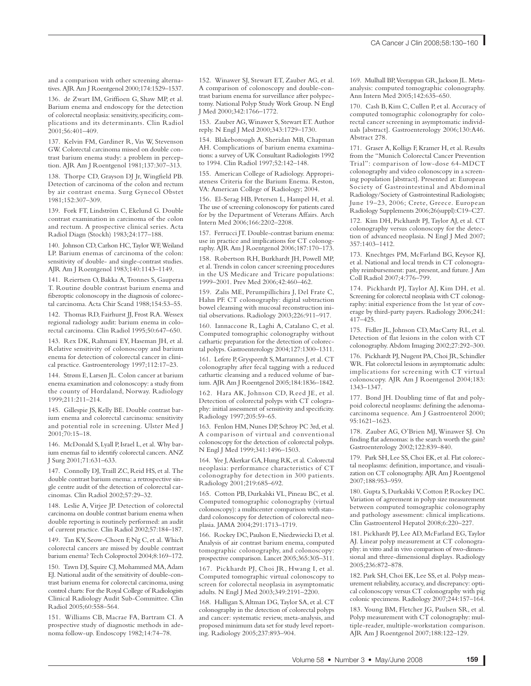and a comparison with other screening alternatives. AJR Am J Roentgenol 2000;174:1529–1537.

136. de Zwart IM, Griffioen G, Shaw MP, et al. Barium enema and endoscopy for the detection of colorectal neoplasia: sensitivity, specificity, complications and its determinants. Clin Radiol 2001;56:401–409.

137. Kelvin FM, Gardiner R, Vas W, Stevenson GW. Colorectal carcinoma missed on double contrast barium enema study: a problem in perception. AJR Am J Roentgenol 1981;137:307–313.

138. Thorpe CD, Grayson DJ Jr, Wingfield PB. Detection of carcinoma of the colon and rectum by air contrast enema. Surg Gynecol Obstet 1981;152:307–309.

139. Fork FT, Lindström C, Ekelund G. Double contrast examination in carcinoma of the colon and rectum. A prospective clinical series. Acta Radiol Diagn (Stockh) 1983;24:177–188.

140. Johnson CD,Carlson HC,Taylor WF,Weiland LP. Barium enemas of carcinoma of the colon: sensitivity of double- and single-contrast studies. AJR Am J Roentgenol 1983;140:1143–1149.

141. Reiertsen O, Bakka A, Tronnes S, Gauperaa T. Routine double contrast barium enema and fiberoptic colonoscopy in the diagnosis of colorectal carcinoma. Acta Chir Scand 1988;154:53–55.

142. Thomas RD, Fairhurst JJ, Frost RA. Wessex regional radiology audit: barium enema in colorectal carcinoma. Clin Radiol 1995;50:647–650.

143. Rex DK, Rahmani EY, Haseman JH, et al. Relative sensitivity of colonoscopy and barium enema for detection of colorectal cancer in clinical practice. Gastroenterology 1997;112:17–23.

144. Strøm E,Larsen JL. Colon cancer at barium enema examination and colonoscopy: a study from the county of Hordaland, Norway. Radiology 1999;211:211–214.

145. Gillespie JS, Kelly BE. Double contrast barium enema and colorectal carcinoma: sensitivity and potential role in screening. Ulster Med J 2001;70:15–18.

146. McDonald S,Lyall P,Israel L,et al. Why barium enemas fail to identify colorectal cancers. ANZ J Surg 2001;71:631–633.

147. Connolly DJ,Traill ZC, Reid HS, et al. The double contrast barium enema: a retrospective single centre audit of the detection of colorectal carcinomas. Clin Radiol 2002;57:29–32.

148. Leslie A, Virjee JP. Detection of colorectal carcinoma on double contrast barium enema when double reporting is routinely performed: an audit of current practice. Clin Radiol 2002;57:184–187.

149. Tan KY, Seow-Choen F, Ng C, et al. Which colorectal cancers are missed by double contrast barium enema? Tech Coloproctol 2004;8:169–172.

150. Tawn DJ, Squire CJ, Mohammed MA, Adam EJ. National audit of the sensitivity of double-contrast barium enema for colorectal carcinoma, using control charts: For the Royal College of Radiologists Clinical Radiology Audit Sub-Committee. Clin Radiol 2005;60:558–564.

151. Williams CB, Macrae FA, Bartram CI. A prospective study of diagnostic methods in adenoma follow-up. Endoscopy 1982;14:74–78.

152. Winawer SJ, Stewart ET, Zauber AG, et al. A comparison of colonoscopy and double-contrast barium enema for surveillance after polypectomy. National Polyp Study Work Group. N Engl J Med 2000;342:1766–1772.

153. Zauber AG,Winawer S, Stewart ET. Author reply. N Engl J Med 2000;343:1729–1730.

154. Blakeborough A, Sheridan MB, Chapman AH. Complications of barium enema examinations: a survey of UK Consultant Radiologists 1992 to 1994. Clin Radiol 1997;52:142–148.

155. American College of Radiology. Appropriateness Criteria for the Barium Enema. Reston, VA: American College of Radiology; 2004.

156. El-Serag HB, Petersen L, Hampel H, et al. The use of screening colonoscopy for patients cared for by the Department of Veterans Affairs. Arch Intern Med 2006;166:2202–2208.

157. Ferrucci JT. Double-contrast barium enema: use in practice and implications for CT colonography. AJR Am J Roentgenol 2006;187:170–173. 158. Robertson RH, Burkhardt JH, Powell MP, et al. Trends in colon cancer screening procedures in the US Medicare and Tricare populations: 1999–2001. Prev Med 2006;42:460–462.

159. Zalis ME, Perumpillichira J, Del Frate C, Hahn PF. CT colonography: digital subtraction bowel cleansing with mucosal reconstruction initial observations. Radiology 2003;226:911–917.

160. Iannaccone R, Laghi A, Catalano C, et al. Computed tomographic colonography without cathartic preparation for the detection of colorectal polyps. Gastroenterology 2004;127:1300–1311.

161. Lefere P, Gryspeerdt S, Marrannes J, et al. CT colonography after fecal tagging with a reduced cathartic cleansing and a reduced volume of barium. AJR Am J Roentgenol 2005;184:1836–1842.

162. Hara AK, Johnson CD, Reed JE, et al. Detection of colorectal polyps with CT colography: initial assessment of sensitivity and specificity. Radiology 1997;205:59–65.

163. Fenlon HM, Nunes DP, Schroy PC 3rd, et al. A comparison of virtual and conventional colonoscopy for the detection of colorectal polyps. N Engl J Med 1999;341:1496–1503.

164. Yee J, Akerkar GA, Hung RK, et al. Colorectal neoplasia: performance characteristics of CT colonography for detection in 300 patients. Radiology 2001;219:685–692.

165. Cotton PB, Durkalski VL, Pineau BC, et al. Computed tomographic colonography (virtual colonoscopy): a multicenter comparison with standard colonoscopy for detection of colorectal neoplasia. JAMA 2004;291:1713–1719.

166. Rockey DC,Paulson E,Niedzwiecki D,et al. Analysis of air contrast barium enema, computed tomographic colonography, and colonoscopy: prospective comparison. Lancet 2005;365:305–311.

167. Pickhardt PJ, Choi JR, Hwang I, et al. Computed tomographic virtual colonoscopy to screen for colorectal neoplasia in asymptomatic adults. N Engl J Med 2003;349:2191–2200.

168. Halligan S,Altman DG,Taylor SA, et al. CT colonography in the detection of colorectal polyps and cancer: systematic review, meta-analysis, and proposed minimum data set for study level reporting. Radiology 2005;237:893–904.

169. Mulhall BP, Veerappan GR, Jackson JL. Metaanalysis: computed tomographic colonography. Ann Intern Med 2005;142:635–650.

170. Cash B, Kim C, Cullen P, et al. Accuracy of computed tomographic colonography for colorectal cancer screening in asymptomatic individuals [abstract]. Gastroenterology 2006;130:A46. Abstract 278.

171. Graser A, Kolligs F, Kramer H, et al. Results from the "Munich Colorectal Cancer Prevention Trial": comparison of low-dose 64-MDCT colonography and video colonoscopy in a screening population [abstract]. Presented at: European Society of Gastrointestinal and Abdominal Radiology/Society of Gastrointestinal Radiologists; June 19–23, 2006; Crete, Greece. European Radiology Supplements 2006;26(suppl):C19–C27.

172. Kim DH, Pickhardt PJ, Taylor AJ, et al. CT colonography versus colonoscopy for the detection of advanced neoplasia. N Engl J Med 2007; 357:1403–1412.

173. Knechtges PM, McFarland BG, Keysor KJ, et al. National and local trends in CT colonography reimbursement: past, present, and future. J Am Coll Radiol 2007;4:776–799.

174. Pickhardt PJ, Taylor AJ, Kim DH, et al. Screening for colorectal neoplasia with CT colonography: initial experience from the 1st year of coverage by third-party payers. Radiology 2006;241: 417–425.

175. Fidler JL, Johnson CD, MacCarty RL, et al. Detection of flat lesions in the colon with CT colonography. Abdom Imaging 2002;27:292–300.

176. Pickhardt PJ, Nugent PA, Choi JR, Schindler WR. Flat colorectal lesions in asymptomatic adults: implications for screening with CT virtual colonoscopy. AJR Am J Roentgenol 2004;183: 1343–1347.

177. Bond JH. Doubling time of flat and polypoid colorectal neoplasms: defining the adenomacarcinoma sequence. Am J Gastroenterol 2000; 95:1621–1623.

178. Zauber AG, O'Brien MJ, Winawer SJ. On finding flat adenomas: is the search worth the gain? Gastroenterology 2002;122:839–840.

179. Park SH, Lee SS, Choi EK, et al. Flat colorectal neoplasms: definition, importance, and visualization on CT colonography. AJR Am J Roentgenol 2007;188:953–959.

180. Gupta S, Durkalski V, Cotton P, Rockey DC. Variation of agreement in polyp size measurement between computed tomographic colonography and pathology assessment: clinical implications. Clin Gastroenterol Hepatol 2008;6:220–227.

181. Pickhardt PJ, Lee AD, McFarland EG,Taylor AJ. Linear polyp measurement at CT colonography: in vitro and in vivo comparison of two-dimensional and three-dimensional displays. Radiology 2005;236:872–878.

182. Park SH, Choi EK, Lee SS, et al. Polyp measurement reliability, accuracy, and discrepancy: optical colonoscopy versus CT colonography with pig colonic specimens. Radiology 2007;244:157–164.

183. Young BM, Fletcher JG, Paulsen SR, et al. Polyp measurement with CT colonography: multiple-reader, multiple-workstation comparison. AJR Am J Roentgenol 2007;188:122–129.